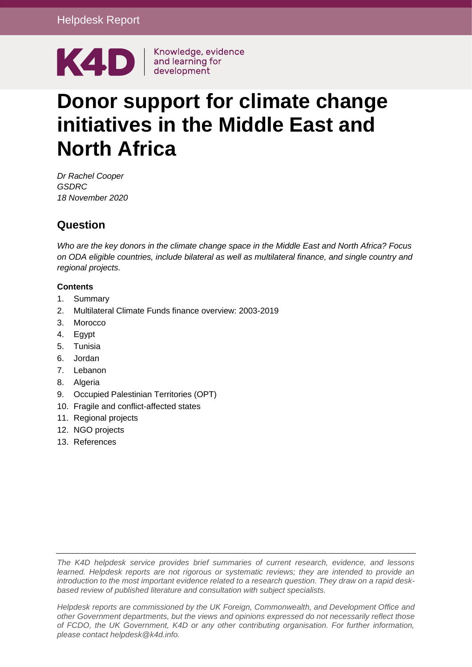

# **Donor support for climate change initiatives in the Middle East and North Africa**

*Dr Rachel Cooper GSDRC 18 November 2020*

## **Question**

*Who are the key donors in the climate change space in the Middle East and North Africa? Focus on ODA eligible countries, include bilateral as well as multilateral finance, and single country and regional projects.*

## **Contents**

- 1. [Summary](#page-1-0)
- 2. [Multilateral Climate Funds finance overview: 2003-2019](#page-3-0)
- 3. [Morocco](#page-5-0)
- 4. [Egypt](#page-11-0)
- 5. [Tunisia](#page-17-0)
- 6. [Jordan](#page-21-0)
- 7. [Lebanon](#page-28-0)
- 8. [Algeria](#page-30-0)
- 9. [Occupied Palestinian Territories \(OPT\)](#page-31-0)
- 10. [Fragile and conflict-affected states](#page-32-0)
- 11. [Regional projects](#page-33-0)
- 12. [NGO projects](#page-38-0)
- 13. [References](#page-38-1)

*The K4D helpdesk service provides brief summaries of current research, evidence, and lessons learned. Helpdesk reports are not rigorous or systematic reviews; they are intended to provide an introduction to the most important evidence related to a research question. They draw on a rapid deskbased review of published literature and consultation with subject specialists.* 

*Helpdesk reports are commissioned by the UK Foreign, Commonwealth, and Development Office and other Government departments, but the views and opinions expressed do not necessarily reflect those of FCDO, the UK Government, K4D or any other contributing organisation. For further information, please contact helpdesk@k4d.info.*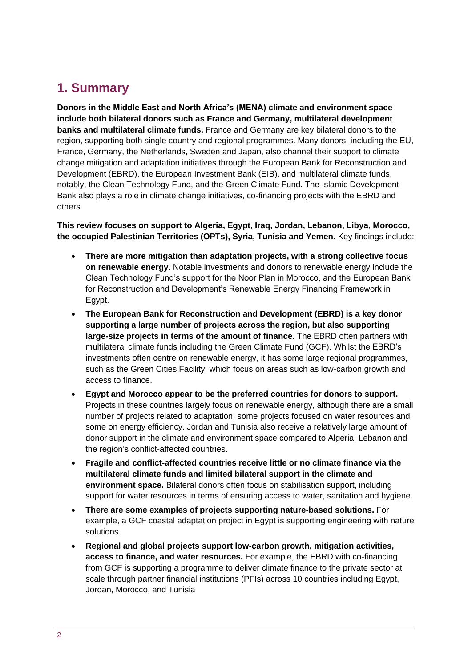## <span id="page-1-0"></span>**1. Summary**

**Donors in the Middle East and North Africa's (MENA) climate and environment space include both bilateral donors such as France and Germany, multilateral development banks and multilateral climate funds.** France and Germany are key bilateral donors to the region, supporting both single country and regional programmes. Many donors, including the EU, France, Germany, the Netherlands, Sweden and Japan, also channel their support to climate change mitigation and adaptation initiatives through the European Bank for Reconstruction and Development (EBRD), the European Investment Bank (EIB), and multilateral climate funds, notably, the Clean Technology Fund, and the Green Climate Fund. The Islamic Development Bank also plays a role in climate change initiatives, co-financing projects with the EBRD and others.

**This review focuses on support to Algeria, Egypt, Iraq, Jordan, Lebanon, Libya, Morocco, the occupied Palestinian Territories (OPTs), Syria, Tunisia and Yemen**. Key findings include:

- **There are more mitigation than adaptation projects, with a strong collective focus on renewable energy.** Notable investments and donors to renewable energy include the Clean Technology Fund's support for the Noor Plan in Morocco, and the European Bank for Reconstruction and Development's Renewable Energy Financing Framework in Egypt.
- **The European Bank for Reconstruction and Development (EBRD) is a key donor supporting a large number of projects across the region, but also supporting large-size projects in terms of the amount of finance.** The EBRD often partners with multilateral climate funds including the Green Climate Fund (GCF). Whilst the EBRD's investments often centre on renewable energy, it has some large regional programmes, such as the Green Cities Facility, which focus on areas such as low-carbon growth and access to finance.
- **Egypt and Morocco appear to be the preferred countries for donors to support.**  Projects in these countries largely focus on renewable energy, although there are a small number of projects related to adaptation, some projects focused on water resources and some on energy efficiency. Jordan and Tunisia also receive a relatively large amount of donor support in the climate and environment space compared to Algeria, Lebanon and the region's conflict-affected countries.
- **Fragile and conflict-affected countries receive little or no climate finance via the multilateral climate funds and limited bilateral support in the climate and environment space.** Bilateral donors often focus on stabilisation support, including support for water resources in terms of ensuring access to water, sanitation and hygiene.
- **There are some examples of projects supporting nature-based solutions.** For example, a GCF coastal adaptation project in Egypt is supporting engineering with nature solutions.
- **Regional and global projects support low-carbon growth, mitigation activities, access to finance, and water resources.** For example, the EBRD with co-financing from GCF is supporting a programme to deliver climate finance to the private sector at scale through partner financial institutions (PFIs) across 10 countries including Egypt, Jordan, Morocco, and Tunisia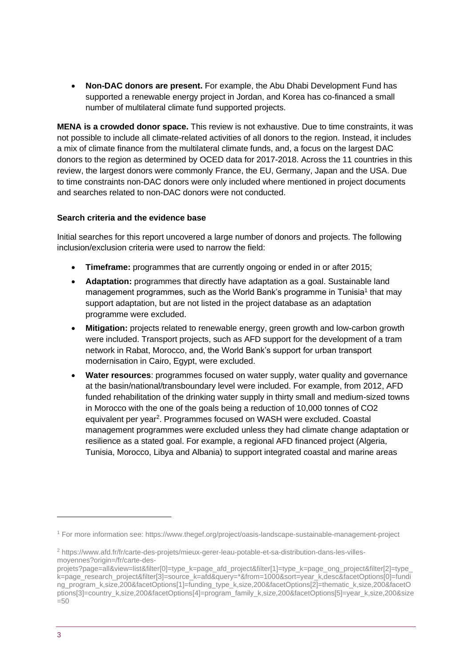• **Non-DAC donors are present.** For example, the Abu Dhabi Development Fund has supported a renewable energy project in Jordan, and Korea has co-financed a small number of multilateral climate fund supported projects.

**MENA is a crowded donor space.** This review is not exhaustive. Due to time constraints, it was not possible to include all climate-related activities of all donors to the region. Instead, it includes a mix of climate finance from the multilateral climate funds, and, a focus on the largest DAC donors to the region as determined by OCED data for 2017-2018. Across the 11 countries in this review, the largest donors were commonly France, the EU, Germany, Japan and the USA. Due to time constraints non-DAC donors were only included where mentioned in project documents and searches related to non-DAC donors were not conducted.

### **Search criteria and the evidence base**

Initial searches for this report uncovered a large number of donors and projects. The following inclusion/exclusion criteria were used to narrow the field:

- **Timeframe:** programmes that are currently ongoing or ended in or after 2015;
- **Adaptation:** programmes that directly have adaptation as a goal. Sustainable land management programmes, such as the World Bank's programme in Tunisia<sup>1</sup> that may support adaptation, but are not listed in the project database as an adaptation programme were excluded.
- **Mitigation:** projects related to renewable energy, green growth and low-carbon growth were included. Transport projects, such as AFD support for the development of a tram network in Rabat, Morocco, and, the World Bank's support for urban transport modernisation in Cairo, Egypt, were excluded.
- **Water resources**: programmes focused on water supply, water quality and governance at the basin/national/transboundary level were included. For example, from 2012, AFD funded rehabilitation of the drinking water supply in thirty small and medium-sized towns in Morocco with the one of the goals being a reduction of 10,000 tonnes of CO2 equivalent per year<sup>2</sup>. Programmes focused on WASH were excluded. Coastal management programmes were excluded unless they had climate change adaptation or resilience as a stated goal. For example, a regional AFD financed project (Algeria, Tunisia, Morocco, Libya and Albania) to support integrated coastal and marine areas

<sup>1</sup> For more information see: https://www.thegef.org/project/oasis-landscape-sustainable-management-project

<sup>2</sup> https://www.afd.fr/fr/carte-des-projets/mieux-gerer-leau-potable-et-sa-distribution-dans-les-villesmovennes?origin=/fr/carte-des-

projets?page=all&view=list&filter[0]=type\_k=page\_afd\_project&filter[1]=type\_k=page\_ong\_project&filter[2]=type k=page\_research\_project&filter[3]=source\_k=afd&query=\*&from=1000&sort=year\_k,desc&facetOptions[0]=fundi ng\_program\_k,size,200&facetOptions[1]=funding\_type\_k,size,200&facetOptions[2]=thematic\_k,size,200&facetO ptions[3]=country\_k,size,200&facetOptions[4]=program\_family\_k,size,200&facetOptions[5]=year\_k,size,200&size  $=50$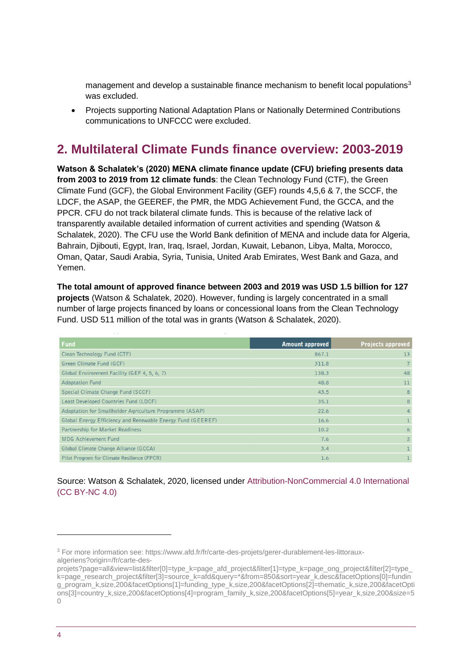management and develop a sustainable finance mechanism to benefit local populations<sup>3</sup> was excluded.

• Projects supporting National Adaptation Plans or Nationally Determined Contributions communications to UNFCCC were excluded.

## <span id="page-3-0"></span>**2. Multilateral Climate Funds finance overview: 2003-2019**

**Watson & Schalatek's (2020) MENA climate finance update (CFU) briefing presents data from 2003 to 2019 from 12 climate funds**: the Clean Technology Fund (CTF), the Green Climate Fund (GCF), the Global Environment Facility (GEF) rounds 4,5,6 & 7, the SCCF, the LDCF, the ASAP, the GEEREF, the PMR, the MDG Achievement Fund, the GCCA, and the PPCR. CFU do not track bilateral climate funds. This is because of the relative lack of transparently available detailed information of current activities and spending (Watson & Schalatek, 2020). The CFU use the World Bank definition of MENA and include data for Algeria, Bahrain, Djibouti, Egypt, Iran, Iraq, Israel, Jordan, Kuwait, Lebanon, Libya, Malta, Morocco, Oman, Qatar, Saudi Arabia, Syria, Tunisia, United Arab Emirates, West Bank and Gaza, and Yemen.

**The total amount of approved finance between 2003 and 2019 was USD 1.5 billion for 127 projects** (Watson & Schalatek, 2020). However, funding is largely concentrated in a small number of large projects financed by loans or concessional loans from the Clean Technology Fund. USD 511 million of the total was in grants (Watson & Schalatek, 2020).

| <b>Fund</b>                                                 | <b>Amount approved</b> | <b>Projects approved</b> |
|-------------------------------------------------------------|------------------------|--------------------------|
| Clean Technology Fund (CTF)                                 | 867.1                  | 13                       |
| Green Climate Fund (GCF)                                    | 311.8                  |                          |
| Global Environment Facility (GEF 4, 5, 6, 7)                | 138.3                  | 48                       |
| <b>Adaptation Fund</b>                                      | 48.8                   | 11                       |
| Special Climate Change Fund (SCCF)                          | 43.5                   | 8                        |
| Least Developed Countries Fund (LDCF)                       | 35.1                   | 8                        |
| Adaptation for Smallholder Agriculture Programme (ASAP)     | 22.6                   | 4                        |
| Global Energy Efficiency and Renewable Energy Fund (GEEREF) | 16.6                   |                          |
| Partnership for Market Readiness                            | 10.2                   | 6                        |
| <b>MDG Achievement Fund</b>                                 | 7.6                    | $\overline{2}$           |
| Global Climate Change Alliance (GCCA)                       | 3.4                    |                          |
| Pilot Program for Climate Resilience (PPCR)                 | 1.6                    |                          |

## Source: Watson & Schalatek, 2020, licensed under [Attribution-NonCommercial 4.0 International](https://creativecommons.org/licenses/by-nc/4.0/)  [\(CC BY-NC 4.0\)](https://creativecommons.org/licenses/by-nc/4.0/)

<sup>3</sup> For more information see: https://www.afd.fr/fr/carte-des-projets/gerer-durablement-les-littorauxalgeriens?origin=/fr/carte-des-

projets?page=all&view=list&filter[0]=type\_k=page\_afd\_project&filter[1]=type\_k=page\_ong\_project&filter[2]=type k=page\_research\_project&filter[3]=source\_k=afd&query=\*&from=850&sort=year\_k,desc&facetOptions[0]=fundin g\_program\_k,size,200&facetOptions[1]=funding\_type\_k,size,200&facetOptions[2]=thematic\_k,size,200&facetOpti ons[3]=country\_k,size,200&facetOptions[4]=program\_family\_k,size,200&facetOptions[5]=year\_k,size,200&size=5  $\bigcap$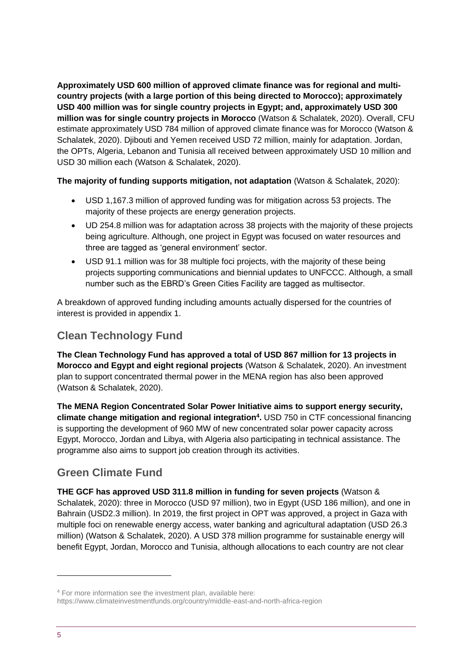**Approximately USD 600 million of approved climate finance was for regional and multicountry projects (with a large portion of this being directed to Morocco); approximately USD 400 million was for single country projects in Egypt; and, approximately USD 300 million was for single country projects in Morocco** (Watson & Schalatek, 2020). Overall, CFU estimate approximately USD 784 million of approved climate finance was for Morocco (Watson & Schalatek, 2020). Djibouti and Yemen received USD 72 million, mainly for adaptation. Jordan, the OPTs, Algeria, Lebanon and Tunisia all received between approximately USD 10 million and USD 30 million each (Watson & Schalatek, 2020).

## **The majority of funding supports mitigation, not adaptation** (Watson & Schalatek, 2020):

- USD 1,167.3 million of approved funding was for mitigation across 53 projects. The majority of these projects are energy generation projects.
- UD 254.8 million was for adaptation across 38 projects with the majority of these projects being agriculture. Although, one project in Egypt was focused on water resources and three are tagged as 'general environment' sector.
- USD 91.1 million was for 38 multiple foci projects, with the majority of these being projects supporting communications and biennial updates to UNFCCC. Although, a small number such as the EBRD's Green Cities Facility are tagged as multisector.

A breakdown of approved funding including amounts actually dispersed for the countries of interest is provided in appendix 1.

## **Clean Technology Fund**

**The Clean Technology Fund has approved a total of USD 867 million for 13 projects in Morocco and Egypt and eight regional projects** (Watson & Schalatek, 2020). An investment plan to support concentrated thermal power in the MENA region has also been approved (Watson & Schalatek, 2020).

**The MENA Region Concentrated Solar Power Initiative aims to support energy security, climate change mitigation and regional integration<sup>4</sup> .** USD 750 in CTF concessional financing is supporting the development of 960 MW of new concentrated solar power capacity across Egypt, Morocco, Jordan and Libya, with Algeria also participating in technical assistance. The programme also aims to support job creation through its activities.

## **Green Climate Fund**

**THE GCF has approved USD 311.8 million in funding for seven projects** (Watson & Schalatek, 2020): three in Morocco (USD 97 million), two in Egypt (USD 186 million), and one in Bahrain (USD2.3 million). In 2019, the first project in OPT was approved, a project in Gaza with multiple foci on renewable energy access, water banking and agricultural adaptation (USD 26.3 million) (Watson & Schalatek, 2020). A USD 378 million programme for sustainable energy will benefit Egypt, Jordan, Morocco and Tunisia, although allocations to each country are not clear

<sup>4</sup> For more information see the investment plan, available here:

https://www.climateinvestmentfunds.org/country/middle-east-and-north-africa-region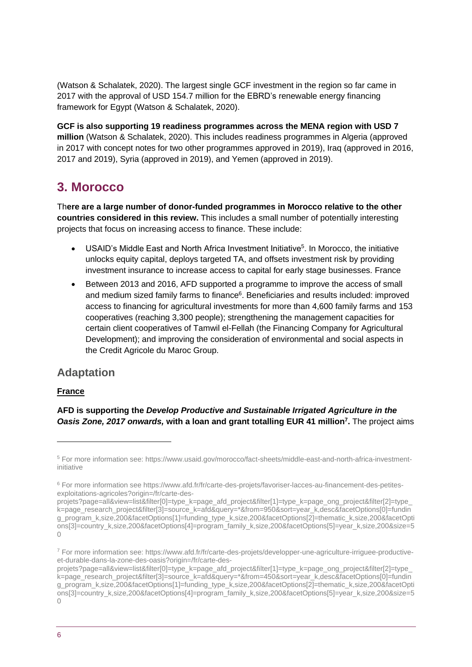(Watson & Schalatek, 2020). The largest single GCF investment in the region so far came in 2017 with the approval of USD 154.7 million for the EBRD's renewable energy financing framework for Egypt (Watson & Schalatek, 2020).

**GCF is also supporting 19 readiness programmes across the MENA region with USD 7 million** (Watson & Schalatek, 2020). This includes readiness programmes in Algeria (approved in 2017 with concept notes for two other programmes approved in 2019), Iraq (approved in 2016, 2017 and 2019), Syria (approved in 2019), and Yemen (approved in 2019).

## <span id="page-5-0"></span>**3. Morocco**

Th**ere are a large number of donor-funded programmes in Morocco relative to the other countries considered in this review.** This includes a small number of potentially interesting projects that focus on increasing access to finance. These include:

- USAID's Middle East and North Africa Investment Initiative<sup>5</sup>. In Morocco, the initiative unlocks equity capital, deploys targeted TA, and offsets investment risk by providing investment insurance to increase access to capital for early stage businesses. France
- Between 2013 and 2016, AFD supported a programme to improve the access of small and medium sized family farms to finance<sup>6</sup>. Beneficiaries and results included: improved access to financing for agricultural investments for more than 4,600 family farms and 153 cooperatives (reaching 3,300 people); strengthening the management capacities for certain client cooperatives of Tamwil el-Fellah (the Financing Company for Agricultural Development); and improving the consideration of environmental and social aspects in the Credit Agricole du Maroc Group.

## **Adaptation**

## **France**

**AFD is supporting the** *Develop Productive and Sustainable Irrigated Agriculture in the Oasis Zone, 2017 onwards,* **with a loan and grant totalling EUR 41 million<sup>7</sup> .** The project aims

<sup>5</sup> For more information see: https://www.usaid.gov/morocco/fact-sheets/middle-east-and-north-africa-investmentinitiative

<sup>6</sup> For more information see https://www.afd.fr/fr/carte-des-projets/favoriser-lacces-au-financement-des-petitesexploitations-agricoles?origin=/fr/carte-des-

projets?page=all&view=list&filter[0]=type\_k=page\_afd\_project&filter[1]=type\_k=page\_ong\_project&filter[2]=type\_ k=page\_research\_project&filter[3]=source\_k=afd&guery=\*&from=950&sort=year\_k,desc&facetOptions[0]=fundin g\_program\_k,size,200&facetOptions[1]=funding\_type\_k,size,200&facetOptions[2]=thematic\_k,size,200&facetOpti ons[3]=country\_k,size,200&facetOptions[4]=program\_family\_k,size,200&facetOptions[5]=year\_k,size,200&size=5  $\bigcap$ 

<sup>7</sup> For more information see: https://www.afd.fr/fr/carte-des-projets/developper-une-agriculture-irriguee-productiveet-durable-dans-la-zone-des-oasis?origin=/fr/carte-des-

projets?page=all&view=list&filter[0]=type\_k=page\_afd\_project&filter[1]=type\_k=page\_ong\_project&filter[2]=type k=page\_research\_project&filter[3]=source\_k=afd&query=\*&from=450&sort=year\_k,desc&facetOptions[0]=fundin g\_program\_k,size,200&facetOptions[1]=funding\_type\_k,size,200&facetOptions[2]=thematic\_k,size,200&facetOpti ons[3]=country\_k,size,200&facetOptions[4]=program\_family\_k,size,200&facetOptions[5]=year\_k,size,200&size=5  $\bigcap$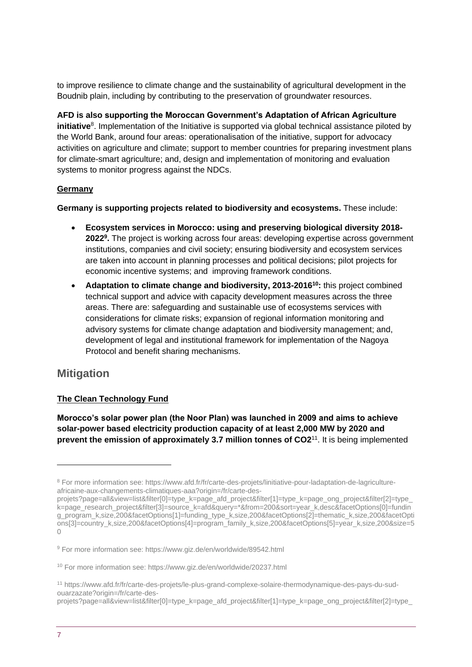to improve resilience to climate change and the sustainability of agricultural development in the Boudnib plain, including by contributing to the preservation of groundwater resources.

**AFD is also supporting the Moroccan Government's Adaptation of African Agriculture initiative**<sup>8</sup>. Implementation of the Initiative is supported via global technical assistance piloted by the World Bank, around four areas: operationalisation of the initiative, support for advocacy activities on agriculture and climate; support to member countries for preparing investment plans for climate-smart agriculture; and, design and implementation of monitoring and evaluation systems to monitor progress against the NDCs.

## **Germany**

**Germany is supporting projects related to biodiversity and ecosystems.** These include:

- **Ecosystem services in Morocco: using and preserving biological diversity 2018- 2022<sup>9</sup> .** The project is working across four areas: developing expertise across government institutions, companies and civil society; ensuring biodiversity and ecosystem services are taken into account in planning processes and political decisions; pilot projects for economic incentive systems; and improving framework conditions.
- **Adaptation to climate change and biodiversity, 2013-2016<sup>10</sup>:** this project combined technical support and advice with capacity development measures across the three areas. There are: safeguarding and sustainable use of ecosystems services with considerations for climate risks; expansion of regional information monitoring and advisory systems for climate change adaptation and biodiversity management; and, development of legal and institutional framework for implementation of the Nagoya Protocol and benefit sharing mechanisms.

## **Mitigation**

## **The Clean Technology Fund**

**Morocco's solar power plan (the Noor Plan) was launched in 2009 and aims to achieve solar-power based electricity production capacity of at least 2,000 MW by 2020 and prevent the emission of approximately 3.7 million tonnes of CO2<sup>11</sup>. It is being implemented** 

<sup>8</sup> For more information see: https://www.afd.fr/fr/carte-des-projets/linitiative-pour-ladaptation-de-lagricultureafricaine-aux-changements-climatiques-aaa?origin=/fr/carte-des-

projets?page=all&view=list&filter[0]=type\_k=page\_afd\_project&filter[1]=type\_k=page\_ong\_project&filter[2]=type k=page\_research\_project&filter[3]=source\_k=afd&query=\*&from=200&sort=year\_k,desc&facetOptions[0]=fundin g\_program\_k,size,200&facetOptions[1]=funding\_type\_k,size,200&facetOptions[2]=thematic\_k,size,200&facetOpti ons[3]=country\_k,size,200&facetOptions[4]=program\_family\_k,size,200&facetOptions[5]=year\_k,size,200&size=5  $\Omega$ 

<sup>9</sup> For more information see: https://www.giz.de/en/worldwide/89542.html

<sup>10</sup> For more information see: https://www.giz.de/en/worldwide/20237.html

<sup>11</sup> https://www.afd.fr/fr/carte-des-projets/le-plus-grand-complexe-solaire-thermodynamique-des-pays-du-sudouarzazate?origin=/fr/carte-des-

projets?page=all&view=list&filter[0]=type\_k=page\_afd\_project&filter[1]=type\_k=page\_ong\_project&filter[2]=type\_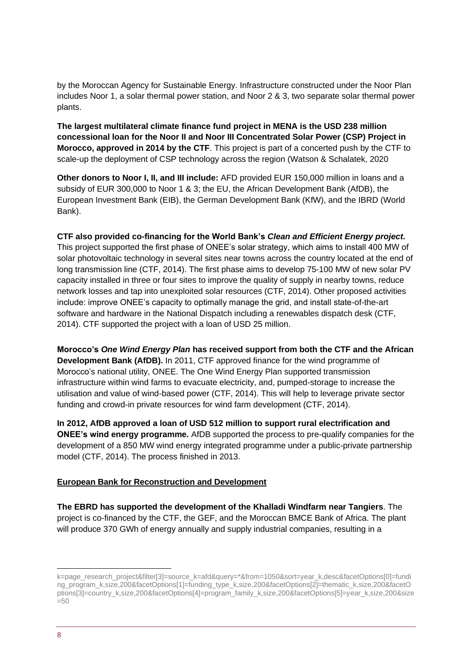by the Moroccan Agency for Sustainable Energy. Infrastructure constructed under the Noor Plan includes Noor 1, a solar thermal power station, and Noor 2 & 3, two separate solar thermal power plants.

**The largest multilateral climate finance fund project in MENA is the USD 238 million concessional loan for the Noor II and Noor III Concentrated Solar Power (CSP) Project in Morocco, approved in 2014 by the CTF**. This project is part of a concerted push by the CTF to scale-up the deployment of CSP technology across the region (Watson & Schalatek, 2020

**Other donors to Noor I, II, and III include:** AFD provided EUR 150,000 million in loans and a subsidy of EUR 300,000 to Noor 1 & 3; the EU, the African Development Bank (AfDB), the European Investment Bank (EIB), the German Development Bank (KfW), and the IBRD (World Bank).

**CTF also provided co-financing for the World Bank's** *Clean and Efficient Energy project.*  This project supported the first phase of ONEE's solar strategy, which aims to install 400 MW of solar photovoltaic technology in several sites near towns across the country located at the end of long transmission line (CTF, 2014). The first phase aims to develop 75-100 MW of new solar PV capacity installed in three or four sites to improve the quality of supply in nearby towns, reduce network losses and tap into unexploited solar resources (CTF, 2014). Other proposed activities include: improve ONEE's capacity to optimally manage the grid, and install state-of-the-art software and hardware in the National Dispatch including a renewables dispatch desk (CTF, 2014). CTF supported the project with a loan of USD 25 million.

**Morocco's** *One Wind Energy Plan* **has received support from both the CTF and the African Development Bank (AfDB).** In 2011, CTF approved finance for the wind programme of Morocco's national utility, ONEE. The One Wind Energy Plan supported transmission infrastructure within wind farms to evacuate electricity, and, pumped-storage to increase the utilisation and value of wind-based power (CTF, 2014). This will help to leverage private sector funding and crowd-in private resources for wind farm development (CTF, 2014).

**In 2012, AfDB approved a loan of USD 512 million to support rural electrification and ONEE's wind energy programme.** AfDB supported the process to pre-qualify companies for the development of a 850 MW wind energy integrated programme under a public-private partnership model (CTF, 2014). The process finished in 2013.

### **European Bank for Reconstruction and Development**

**The EBRD has supported the development of the Khalladi Windfarm near Tangiers**. The project is co-financed by the CTF, the GEF, and the Moroccan BMCE Bank of Africa. The plant will produce 370 GWh of energy annually and supply industrial companies, resulting in a

k=page\_research\_project&filter[3]=source\_k=afd&query=\*&from=1050&sort=year\_k,desc&facetOptions[0]=fundi ng\_program\_k,size,200&facetOptions[1]=funding\_type\_k,size,200&facetOptions[2]=thematic\_k,size,200&facetO ptions[3]=country\_k,size,200&facetOptions[4]=program\_family\_k,size,200&facetOptions[5]=year\_k,size,200&size  $=50$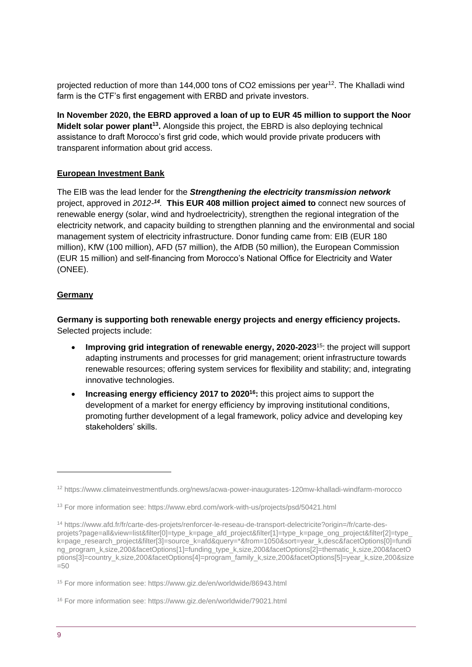projected reduction of more than 144,000 tons of CO2 emissions per year<sup>12</sup>. The Khalladi wind farm is the CTF's first engagement with ERBD and private investors.

**In November 2020, the EBRD approved a loan of up to EUR 45 million to support the Noor Midelt solar power plant<sup>13</sup> .** Alongside this project, the EBRD is also deploying technical assistance to draft Morocco's first grid code, which would provide private producers with transparent information about grid access.

### **European Investment Bank**

The EIB was the lead lender for the *Strengthening the electricity transmission network* project, approved in *2012- 14 .* **This EUR 408 million project aimed to** connect new sources of renewable energy (solar, wind and hydroelectricity), strengthen the regional integration of the electricity network, and capacity building to strengthen planning and the environmental and social management system of electricity infrastructure. Donor funding came from: EIB (EUR 180 million), KfW (100 million), AFD (57 million), the AfDB (50 million), the European Commission (EUR 15 million) and self-financing from Morocco's National Office for Electricity and Water (ONEE).

#### **Germany**

**Germany is supporting both renewable energy projects and energy efficiency projects.**  Selected projects include:

- **Improving grid integration of renewable energy, 2020-2023**<sup>15</sup>: the project will support adapting instruments and processes for grid management; orient infrastructure towards renewable resources; offering system services for flexibility and stability; and, integrating innovative technologies.
- **Increasing energy efficiency 2017 to 2020<sup>16</sup>:** this project aims to support the development of a market for energy efficiency by improving institutional conditions, promoting further development of a legal framework, policy advice and developing key stakeholders' skills.

<sup>12</sup> https://www.climateinvestmentfunds.org/news/acwa-power-inaugurates-120mw-khalladi-windfarm-morocco

<sup>13</sup> For more information see: https://www.ebrd.com/work-with-us/projects/psd/50421.html

<sup>14</sup> https://www.afd.fr/fr/carte-des-projets/renforcer-le-reseau-de-transport-delectricite?origin=/fr/carte-desprojets?page=all&view=list&filter[0]=type\_k=page\_afd\_project&filter[1]=type\_k=page\_ong\_project&filter[2]=type\_ k=page\_research\_project&filter[3]=source\_k=afd&query=\*&from=1050&sort=year\_k,desc&facetOptions[0]=fundi ng\_program\_k,size,200&facetOptions[1]=funding\_type\_k,size,200&facetOptions[2]=thematic\_k,size,200&facetO ptions[3]=country\_k,size,200&facetOptions[4]=program\_family\_k,size,200&facetOptions[5]=year\_k,size,200&size  $=50$ 

<sup>15</sup> For more information see: https://www.giz.de/en/worldwide/86943.html

<sup>16</sup> For more information see: https://www.giz.de/en/worldwide/79021.html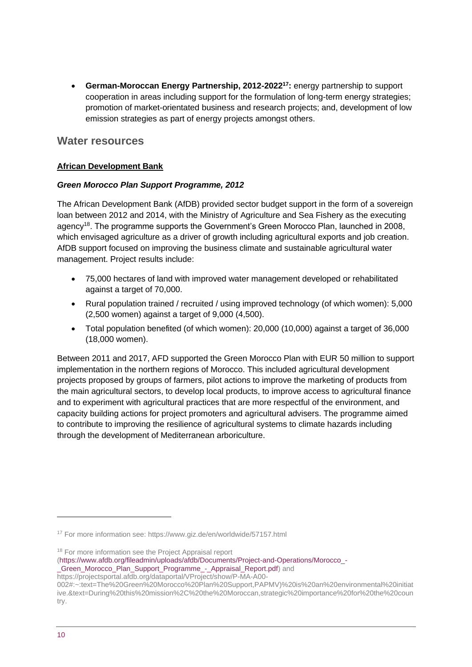• **German-Moroccan Energy Partnership, 2012-2022<sup>17</sup>:** energy partnership to support cooperation in areas including support for the formulation of long-term energy strategies; promotion of market-orientated business and research projects; and, development of low emission strategies as part of energy projects amongst others.

## **Water resources**

### **African Development Bank**

### *Green Morocco Plan Support Programme, 2012*

The African Development Bank (AfDB) provided sector budget support in the form of a sovereign loan between 2012 and 2014, with the Ministry of Agriculture and Sea Fishery as the executing agency<sup>18</sup>. The programme supports the Government's Green Morocco Plan, launched in 2008, which envisaged agriculture as a driver of growth including agricultural exports and job creation. AfDB support focused on improving the business climate and sustainable agricultural water management. Project results include:

- 75,000 hectares of land with improved water management developed or rehabilitated against a target of 70,000.
- Rural population trained / recruited / using improved technology (of which women): 5,000 (2,500 women) against a target of 9,000 (4,500).
- Total population benefited (of which women): 20,000 (10,000) against a target of 36,000 (18,000 women).

Between 2011 and 2017, AFD supported the Green Morocco Plan with EUR 50 million to support implementation in the northern regions of Morocco. This included agricultural development projects proposed by groups of farmers, pilot actions to improve the marketing of products from the main agricultural sectors, to develop local products, to improve access to agricultural finance and to experiment with agricultural practices that are more respectful of the environment, and capacity building actions for project promoters and agricultural advisers. The programme aimed to contribute to improving the resilience of agricultural systems to climate hazards including through the development of Mediterranean arboriculture.

<sup>18</sup> For more information see the Project Appraisal report

[\(https://www.afdb.org/fileadmin/uploads/afdb/Documents/Project-and-Operations/Morocco\\_-](https://www.afdb.org/fileadmin/uploads/afdb/Documents/Project-and-Operations/Morocco_-_Green_Morocco_Plan_Support_Programme_-_Appraisal_Report.pdf) [\\_Green\\_Morocco\\_Plan\\_Support\\_Programme\\_-\\_Appraisal\\_Report.pdf\)](https://www.afdb.org/fileadmin/uploads/afdb/Documents/Project-and-Operations/Morocco_-_Green_Morocco_Plan_Support_Programme_-_Appraisal_Report.pdf) and

<sup>17</sup> For more information see: https://www.giz.de/en/worldwide/57157.html

https://projectsportal.afdb.org/dataportal/VProject/show/P-MA-A00-

<sup>002#:~:</sup>text=The%20Green%20Morocco%20Plan%20Support,PAPMV)%20is%20an%20environmental%20initiat ive.&text=During%20this%20mission%2C%20the%20Moroccan,strategic%20importance%20for%20the%20coun try.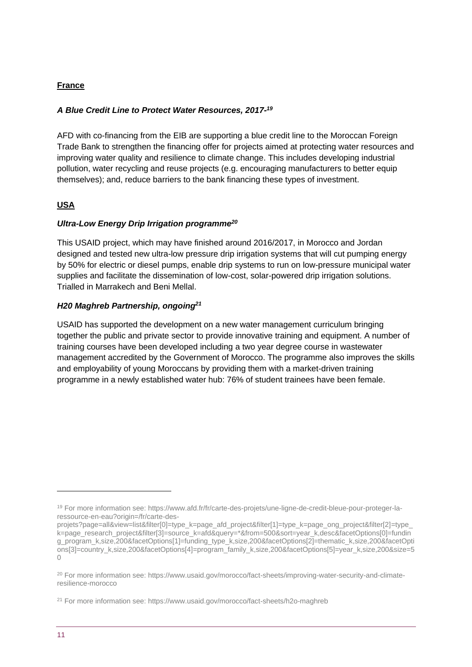## **France**

## *A Blue Credit Line to Protect Water Resources, 2017- 19*

AFD with co-financing from the EIB are supporting a blue credit line to the Moroccan Foreign Trade Bank to strengthen the financing offer for projects aimed at protecting water resources and improving water quality and resilience to climate change. This includes developing industrial pollution, water recycling and reuse projects (e.g. encouraging manufacturers to better equip themselves); and, reduce barriers to the bank financing these types of investment.

## **USA**

### *Ultra-Low Energy Drip Irrigation programme<sup>20</sup>*

This USAID project, which may have finished around 2016/2017, in Morocco and Jordan designed and tested new ultra-low pressure drip irrigation systems that will cut pumping energy by 50% for electric or diesel pumps, enable drip systems to run on low-pressure municipal water supplies and facilitate the dissemination of low-cost, solar-powered drip irrigation solutions. Trialled in Marrakech and Beni Mellal.

## *H20 Maghreb Partnership, ongoing<sup>21</sup>*

USAID has supported the development on a new water management curriculum bringing together the public and private sector to provide innovative training and equipment. A number of training courses have been developed including a two year degree course in wastewater management accredited by the Government of Morocco. The programme also improves the skills and employability of young Moroccans by providing them with a market-driven training programme in a newly established water hub: 76% of student trainees have been female.

<sup>19</sup> For more information see: https://www.afd.fr/fr/carte-des-projets/une-ligne-de-credit-bleue-pour-proteger-laressource-en-eau?origin=/fr/carte-des-

projets?page=all&view=list&filter[0]=type\_k=page\_afd\_project&filter[1]=type\_k=page\_ong\_project&filter[2]=type k=page\_research\_project&filter[3]=source\_k=afd&query=\*&from=500&sort=year\_k,desc&facetOptions[0]=fundin g\_program\_k,size,200&facetOptions[1]=funding\_type\_k,size,200&facetOptions[2]=thematic\_k,size,200&facetOpti ons[3]=country\_k,size,200&facetOptions[4]=program\_family\_k,size,200&facetOptions[5]=year\_k,size,200&size=5 0

<sup>&</sup>lt;sup>20</sup> For more information see: https://www.usaid.gov/morocco/fact-sheets/improving-water-security-and-climateresilience-morocco

<sup>21</sup> For more information see: https://www.usaid.gov/morocco/fact-sheets/h2o-maghreb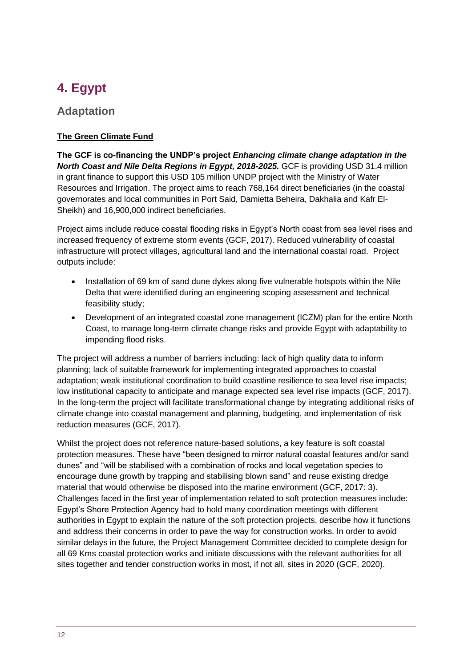## <span id="page-11-0"></span>**4. Egypt**

## **Adaptation**

## **The Green Climate Fund**

**The GCF is co-financing the UNDP's project** *Enhancing climate change adaptation in the North Coast and Nile Delta Regions in Egypt, 2018-2025.* GCF is providing USD 31.4 million in grant finance to support this USD 105 million UNDP project with the Ministry of Water Resources and Irrigation. The project aims to reach 768,164 direct beneficiaries (in the coastal governorates and local communities in Port Said, Damietta Beheira, Dakhalia and Kafr El-Sheikh) and 16,900,000 indirect beneficiaries.

Project aims include reduce coastal flooding risks in Egypt's North coast from sea level rises and increased frequency of extreme storm events (GCF, 2017). Reduced vulnerability of coastal infrastructure will protect villages, agricultural land and the international coastal road. Project outputs include:

- Installation of 69 km of sand dune dykes along five vulnerable hotspots within the Nile Delta that were identified during an engineering scoping assessment and technical feasibility study;
- Development of an integrated coastal zone management (ICZM) plan for the entire North Coast, to manage long-term climate change risks and provide Egypt with adaptability to impending flood risks.

The project will address a number of barriers including: lack of high quality data to inform planning; lack of suitable framework for implementing integrated approaches to coastal adaptation; weak institutional coordination to build coastline resilience to sea level rise impacts; low institutional capacity to anticipate and manage expected sea level rise impacts (GCF, 2017). In the long-term the project will facilitate transformational change by integrating additional risks of climate change into coastal management and planning, budgeting, and implementation of risk reduction measures (GCF, 2017).

Whilst the project does not reference nature-based solutions, a key feature is soft coastal protection measures. These have "been designed to mirror natural coastal features and/or sand dunes" and "will be stabilised with a combination of rocks and local vegetation species to encourage dune growth by trapping and stabilising blown sand" and reuse existing dredge material that would otherwise be disposed into the marine environment (GCF, 2017: 3). Challenges faced in the first year of implementation related to soft protection measures include: Egypt's Shore Protection Agency had to hold many coordination meetings with different authorities in Egypt to explain the nature of the soft protection projects, describe how it functions and address their concerns in order to pave the way for construction works. In order to avoid similar delays in the future, the Project Management Committee decided to complete design for all 69 Kms coastal protection works and initiate discussions with the relevant authorities for all sites together and tender construction works in most, if not all, sites in 2020 (GCF, 2020).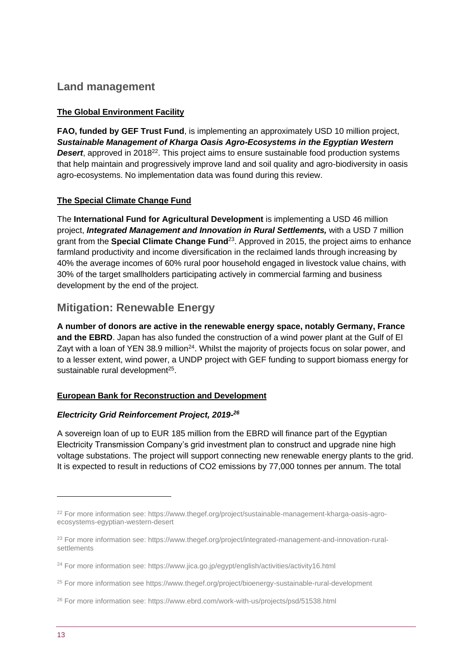## **Land management**

## **The Global Environment Facility**

**FAO, funded by GEF Trust Fund**, is implementing an approximately USD 10 million project, *Sustainable Management of Kharga Oasis Agro-Ecosystems in the Egyptian Western*  **Desert**, approved in 2018<sup>22</sup>. This project aims to ensure sustainable food production systems that help maintain and progressively improve land and soil quality and agro-biodiversity in oasis agro-ecosystems. No implementation data was found during this review.

## **The Special Climate Change Fund**

The **International Fund for Agricultural Development** is implementing a USD 46 million project, *Integrated Management and Innovation in Rural Settlements,* with a USD 7 million grant from the **Special Climate Change Fund**<sup>23</sup>. Approved in 2015, the project aims to enhance farmland productivity and income diversification in the reclaimed lands through increasing by 40% the average incomes of 60% rural poor household engaged in livestock value chains, with 30% of the target smallholders participating actively in commercial farming and business development by the end of the project.

## **Mitigation: Renewable Energy**

**A number of donors are active in the renewable energy space, notably Germany, France and the EBRD**. Japan has also funded the construction of a wind power plant at the Gulf of El Zayt with a loan of YEN 38.9 million<sup>24</sup>. Whilst the majority of projects focus on solar power, and to a lesser extent, wind power, a UNDP project with GEF funding to support biomass energy for sustainable rural development<sup>25</sup>.

### **European Bank for Reconstruction and Development**

### *Electricity Grid Reinforcement Project, 2019- 26*

A sovereign loan of up to EUR 185 million from the EBRD will finance part of the Egyptian Electricity Transmission Company's grid investment plan to construct and upgrade nine high voltage substations. The project will support connecting new renewable energy plants to the grid. It is expected to result in reductions of CO2 emissions by 77,000 tonnes per annum. The total

<sup>22</sup> For more information see: https://www.thegef.org/project/sustainable-management-kharga-oasis-agroecosystems-egyptian-western-desert

<sup>23</sup> For more information see: https://www.thegef.org/project/integrated-management-and-innovation-ruralsettlements

<sup>&</sup>lt;sup>24</sup> For more information see: https://www.jica.go.jp/egypt/english/activities/activity16.html

<sup>25</sup> For more information see https://www.thegef.org/project/bioenergy-sustainable-rural-development

<sup>26</sup> For more information see: https://www.ebrd.com/work-with-us/projects/psd/51538.html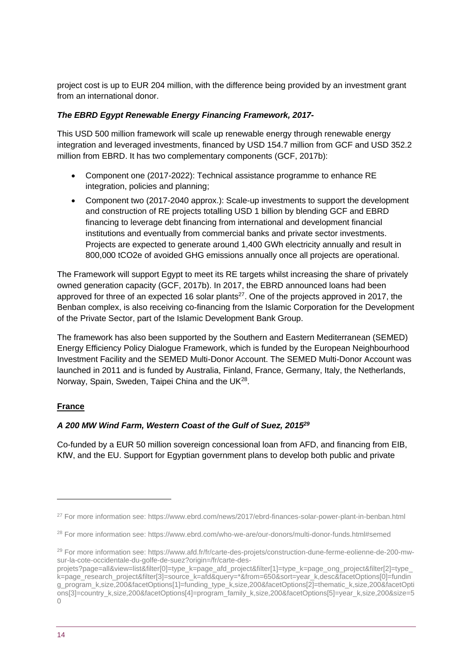project cost is up to EUR 204 million, with the difference being provided by an investment grant from an international donor.

### *The EBRD Egypt Renewable Energy Financing Framework, 2017-*

This USD 500 million framework will scale up renewable energy through renewable energy integration and leveraged investments, financed by USD 154.7 million from GCF and USD 352.2 million from EBRD. It has two complementary components (GCF, 2017b):

- Component one (2017-2022): Technical assistance programme to enhance RE integration, policies and planning;
- Component two (2017-2040 approx.): Scale-up investments to support the development and construction of RE projects totalling USD 1 billion by blending GCF and EBRD financing to leverage debt financing from international and development financial institutions and eventually from commercial banks and private sector investments. Projects are expected to generate around 1,400 GWh electricity annually and result in 800,000 tCO2e of avoided GHG emissions annually once all projects are operational.

The Framework will support Egypt to meet its RE targets whilst increasing the share of privately owned generation capacity (GCF, 2017b). In 2017, the EBRD announced loans had been approved for three of an expected 16 solar plants<sup>27</sup>. One of the projects approved in 2017, the Benban complex, is also receiving co-financing from the Islamic Corporation for the Development of the Private Sector, part of the Islamic Development Bank Group.

The framework has also been supported by the Southern and Eastern Mediterranean (SEMED) Energy Efficiency Policy Dialogue Framework, which is funded by the European Neighbourhood Investment Facility and the SEMED Multi-Donor Account. The SEMED Multi-Donor Account was launched in 2011 and is funded by Australia, Finland, France, Germany, Italy, the Netherlands, Norway, Spain, Sweden, Taipei China and the UK<sup>28</sup>.

### **France**

## *A 200 MW Wind Farm, Western Coast of the Gulf of Suez, 2015<sup>29</sup>*

Co-funded by a EUR 50 million sovereign concessional loan from AFD, and financing from EIB, KfW, and the EU. Support for Egyptian government plans to develop both public and private

<sup>27</sup> For more information see: https://www.ebrd.com/news/2017/ebrd-finances-solar-power-plant-in-benban.html

<sup>28</sup> For more information see: https://www.ebrd.com/who-we-are/our-donors/multi-donor-funds.html#semed

<sup>29</sup> For more information see: https://www.afd.fr/fr/carte-des-projets/construction-dune-ferme-eolienne-de-200-mwsur-la-cote-occidentale-du-golfe-de-suez?origin=/fr/carte-des-

projets?page=all&view=list&filter[0]=type\_k=page\_afd\_project&filter[1]=type\_k=page\_ong\_project&filter[2]=type k=page\_research\_project&filter[3]=source\_k=afd&query=\*&from=650&sort=year\_k,desc&facetOptions[0]=fundin g\_program\_k,size,200&facetOptions[1]=funding\_type\_k,size,200&facetOptions[2]=thematic\_k,size,200&facetOpti ons[3]=country\_k,size,200&facetOptions[4]=program\_family\_k,size,200&facetOptions[5]=year\_k,size,200&size=5  $\bigcap$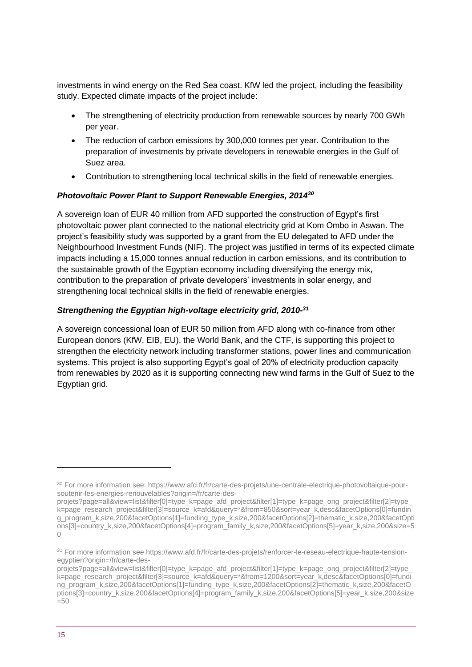investments in wind energy on the Red Sea coast. KfW led the project, including the feasibility study. Expected climate impacts of the project include:

- The strengthening of electricity production from renewable sources by nearly 700 GWh per year.
- The reduction of carbon emissions by 300,000 tonnes per year. Contribution to the preparation of investments by private developers in renewable energies in the Gulf of Suez area.
- Contribution to strengthening local technical skills in the field of renewable energies.

### *Photovoltaic Power Plant to Support Renewable Energies, 2014<sup>30</sup>*

A sovereign loan of EUR 40 million from AFD supported the construction of Egypt's first photovoltaic power plant connected to the national electricity grid at Kom Ombo in Aswan. The project's feasibility study was supported by a grant from the EU delegated to AFD under the Neighbourhood Investment Funds (NIF). The project was justified in terms of its expected climate impacts including a 15,000 tonnes annual reduction in carbon emissions, and its contribution to the sustainable growth of the Egyptian economy including diversifying the energy mix, contribution to the preparation of private developers' investments in solar energy, and strengthening local technical skills in the field of renewable energies.

## *Strengthening the Egyptian high-voltage electricity grid, 2010- 31*

A sovereign concessional loan of EUR 50 million from AFD along with co-finance from other European donors (KfW, EIB, EU), the World Bank, and the CTF, is supporting this project to strengthen the electricity network including transformer stations, power lines and communication systems. This project is also supporting Egypt's goal of 20% of electricity production capacity from renewables by 2020 as it is supporting connecting new wind farms in the Gulf of Suez to the Egyptian grid.

<sup>30</sup> For more information see: https://www.afd.fr/fr/carte-des-projets/une-centrale-electrique-photovoltaique-poursoutenir-les-energies-renouvelables?origin=/fr/carte-des-

projets?page=all&view=list&filter[0]=type\_k=page\_afd\_project&filter[1]=type\_k=page\_ong\_project&filter[2]=type\_ k=page\_research\_project&filter[3]=source\_k=afd&guery=\*&from=850&sort=year\_k,desc&facetOptions[0]=fundin g\_program\_k,size,200&facetOptions[1]=funding\_type\_k,size,200&facetOptions[2]=thematic\_k,size,200&facetOpti ons[3]=country\_k,size,200&facetOptions[4]=program\_family\_k,size,200&facetOptions[5]=year\_k,size,200&size=5  $\bigcap$ 

<sup>31</sup> For more information see https://www.afd.fr/fr/carte-des-projets/renforcer-le-reseau-electrique-haute-tensionegyptien?origin=/fr/carte-des-

projets?page=all&view=list&filter[0]=type\_k=page\_afd\_project&filter[1]=type\_k=page\_ong\_project&filter[2]=type\_ k=page\_research\_project&filter[3]=source\_k=afd&query=\*&from=1200&sort=year\_k,desc&facetOptions[0]=fundi ng\_program\_k,size,200&facetOptions[1]=funding\_type\_k,size,200&facetOptions[2]=thematic\_k,size,200&facetO ptions[3]=country\_k,size,200&facetOptions[4]=program\_family\_k,size,200&facetOptions[5]=year\_k,size,200&size  $=50$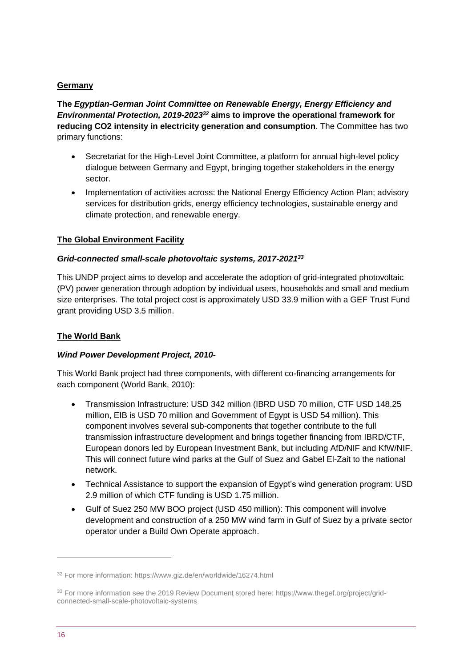### **Germany**

**The** *Egyptian-German Joint Committee on Renewable Energy, Energy Efficiency and Environmental Protection, 2019-2023<sup>32</sup>* **aims to improve the operational framework for reducing CO2 intensity in electricity generation and consumption**. The Committee has two primary functions:

- Secretariat for the High-Level Joint Committee, a platform for annual high-level policy dialogue between Germany and Egypt, bringing together stakeholders in the energy sector.
- Implementation of activities across: the National Energy Efficiency Action Plan; advisory services for distribution grids, energy efficiency technologies, sustainable energy and climate protection, and renewable energy.

### **The Global Environment Facility**

#### *Grid-connected small-scale photovoltaic systems, 2017-2021<sup>33</sup>*

This UNDP project aims to develop and accelerate the adoption of grid-integrated photovoltaic (PV) power generation through adoption by individual users, households and small and medium size enterprises. The total project cost is approximately USD 33.9 million with a GEF Trust Fund grant providing USD 3.5 million.

### **The World Bank**

#### *Wind Power Development Project, 2010-*

This World Bank project had three components, with different co-financing arrangements for each component (World Bank, 2010):

- Transmission Infrastructure: USD 342 million (IBRD USD 70 million, CTF USD 148.25 million, EIB is USD 70 million and Government of Egypt is USD 54 million). This component involves several sub-components that together contribute to the full transmission infrastructure development and brings together financing from IBRD/CTF, European donors led by European Investment Bank, but including AfD/NIF and KfW/NIF. This will connect future wind parks at the Gulf of Suez and Gabel El-Zait to the national network.
- Technical Assistance to support the expansion of Egypt's wind generation program: USD 2.9 million of which CTF funding is USD 1.75 million.
- Gulf of Suez 250 MW BOO project (USD 450 million): This component will involve development and construction of a 250 MW wind farm in Gulf of Suez by a private sector operator under a Build Own Operate approach.

<sup>32</sup> For more information: https://www.giz.de/en/worldwide/16274.html

<sup>33</sup> For more information see the 2019 Review Document stored here: https://www.thegef.org/project/gridconnected-small-scale-photovoltaic-systems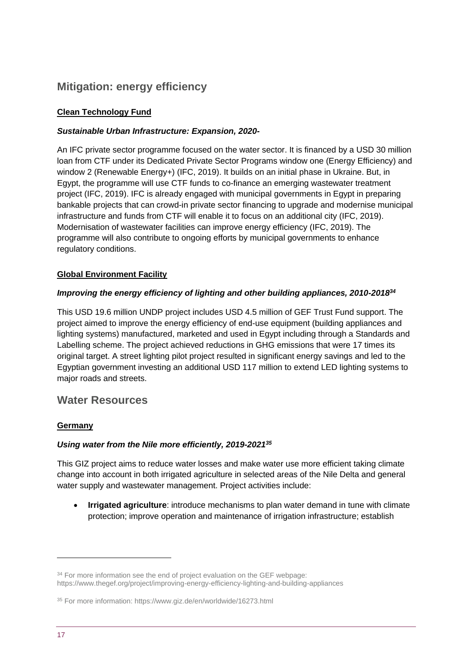## **Mitigation: energy efficiency**

## **Clean Technology Fund**

## *Sustainable Urban Infrastructure: Expansion, 2020-*

An IFC private sector programme focused on the water sector. It is financed by a USD 30 million loan from CTF under its Dedicated Private Sector Programs window one (Energy Efficiency) and window 2 (Renewable Energy+) (IFC, 2019). It builds on an initial phase in Ukraine. But, in Egypt, the programme will use CTF funds to co-finance an emerging wastewater treatment project (IFC, 2019). IFC is already engaged with municipal governments in Egypt in preparing bankable projects that can crowd-in private sector financing to upgrade and modernise municipal infrastructure and funds from CTF will enable it to focus on an additional city (IFC, 2019). Modernisation of wastewater facilities can improve energy efficiency (IFC, 2019). The programme will also contribute to ongoing efforts by municipal governments to enhance regulatory conditions.

### **Global Environment Facility**

### *Improving the energy efficiency of lighting and other building appliances, 2010-2018<sup>34</sup>*

This USD 19.6 million UNDP project includes USD 4.5 million of GEF Trust Fund support. The project aimed to improve the energy efficiency of end-use equipment (building appliances and lighting systems) manufactured, marketed and used in Egypt including through a Standards and Labelling scheme. The project achieved reductions in GHG emissions that were 17 times its original target. A street lighting pilot project resulted in significant energy savings and led to the Egyptian government investing an additional USD 117 million to extend LED lighting systems to major roads and streets.

## **Water Resources**

### **Germany**

### *Using water from the Nile more efficiently, 2019-2021<sup>35</sup>*

This GIZ project aims to reduce water losses and make water use more efficient taking climate change into account in both irrigated agriculture in selected areas of the Nile Delta and general water supply and wastewater management. Project activities include:

• **Irrigated agriculture**: introduce mechanisms to plan water demand in tune with climate protection; improve operation and maintenance of irrigation infrastructure; establish

<sup>&</sup>lt;sup>34</sup> For more information see the end of project evaluation on the GEF webpage: https://www.thegef.org/project/improving-energy-efficiency-lighting-and-building-appliances

<sup>35</sup> For more information: https://www.giz.de/en/worldwide/16273.html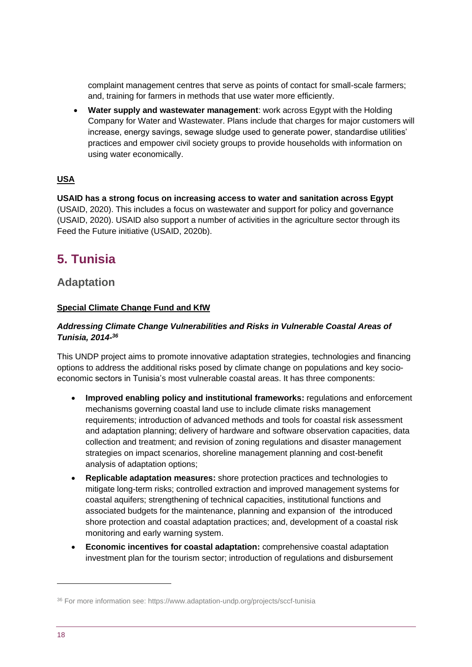complaint management centres that serve as points of contact for small-scale farmers; and, training for farmers in methods that use water more efficiently.

• **Water supply and wastewater management**: work across Egypt with the Holding Company for Water and Wastewater. Plans include that charges for major customers will increase, energy savings, sewage sludge used to generate power, standardise utilities' practices and empower civil society groups to provide households with information on using water economically.

## **USA**

**USAID has a strong focus on increasing access to water and sanitation across Egypt**  (USAID, 2020). This includes a focus on wastewater and support for policy and governance (USAID, 2020). USAID also support a number of activities in the agriculture sector through its Feed the Future initiative (USAID, 2020b).

## <span id="page-17-0"></span>**5. Tunisia**

## **Adaptation**

### **Special Climate Change Fund and KfW**

#### *Addressing Climate Change Vulnerabilities and Risks in Vulnerable Coastal Areas of Tunisia, 2014- 36*

This UNDP project aims to promote innovative adaptation strategies, technologies and financing options to address the additional risks posed by climate change on populations and key socioeconomic sectors in Tunisia's most vulnerable coastal areas. It has three components:

- **Improved enabling policy and institutional frameworks:** regulations and enforcement mechanisms governing coastal land use to include climate risks management requirements; introduction of advanced methods and tools for coastal risk assessment and adaptation planning; delivery of hardware and software observation capacities, data collection and treatment; and revision of zoning regulations and disaster management strategies on impact scenarios, shoreline management planning and cost-benefit analysis of adaptation options;
- **Replicable adaptation measures:** shore protection practices and technologies to mitigate long-term risks; controlled extraction and improved management systems for coastal aquifers; strengthening of technical capacities, institutional functions and associated budgets for the maintenance, planning and expansion of the introduced shore protection and coastal adaptation practices; and, development of a coastal risk monitoring and early warning system.
- **Economic incentives for coastal adaptation:** comprehensive coastal adaptation investment plan for the tourism sector; introduction of regulations and disbursement

<sup>36</sup> For more information see: https://www.adaptation-undp.org/projects/sccf-tunisia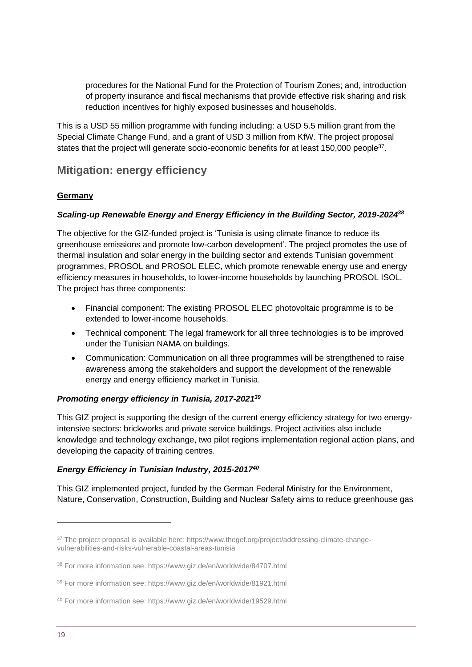procedures for the National Fund for the Protection of Tourism Zones; and, introduction of property insurance and fiscal mechanisms that provide effective risk sharing and risk reduction incentives for highly exposed businesses and households.

This is a USD 55 million programme with funding including: a USD 5.5 million grant from the Special Climate Change Fund, and a grant of USD 3 million from KfW. The project proposal states that the project will generate socio-economic benefits for at least 150,000 people<sup>37</sup>.

## **Mitigation: energy efficiency**

## **Germany**

## *Scaling-up Renewable Energy and Energy Efficiency in the Building Sector, 2019-2024<sup>38</sup>*

The objective for the GIZ-funded project is 'Tunisia is using climate finance to reduce its greenhouse emissions and promote low-carbon development'. The project promotes the use of thermal insulation and solar energy in the building sector and extends Tunisian government programmes, PROSOL and PROSOL ELEC, which promote renewable energy use and energy efficiency measures in households, to lower-income households by launching PROSOL ISOL. The project has three components:

- Financial component: The existing PROSOL ELEC photovoltaic programme is to be extended to lower-income households.
- Technical component: The legal framework for all three technologies is to be improved under the Tunisian NAMA on buildings.
- Communication: Communication on all three programmes will be strengthened to raise awareness among the stakeholders and support the development of the renewable energy and energy efficiency market in Tunisia.

### *Promoting energy efficiency in Tunisia, 2017-2021<sup>39</sup>*

This GIZ project is supporting the design of the current energy efficiency strategy for two energyintensive sectors: brickworks and private service buildings. Project activities also include knowledge and technology exchange, two pilot regions implementation regional action plans, and developing the capacity of training centres.

## *Energy Efficiency in Tunisian Industry, 2015-2017<sup>40</sup>*

This GIZ implemented project, funded by the German Federal Ministry for the Environment, Nature, Conservation, Construction, Building and Nuclear Safety aims to reduce greenhouse gas

<sup>&</sup>lt;sup>37</sup> The project proposal is available here: https://www.thegef.org/project/addressing-climate-changevulnerabilities-and-risks-vulnerable-coastal-areas-tunisia

<sup>38</sup> For more information see: https://www.giz.de/en/worldwide/84707.html

<sup>39</sup> For more information see: https://www.giz.de/en/worldwide/81921.html

<sup>40</sup> For more information see: https://www.giz.de/en/worldwide/19529.html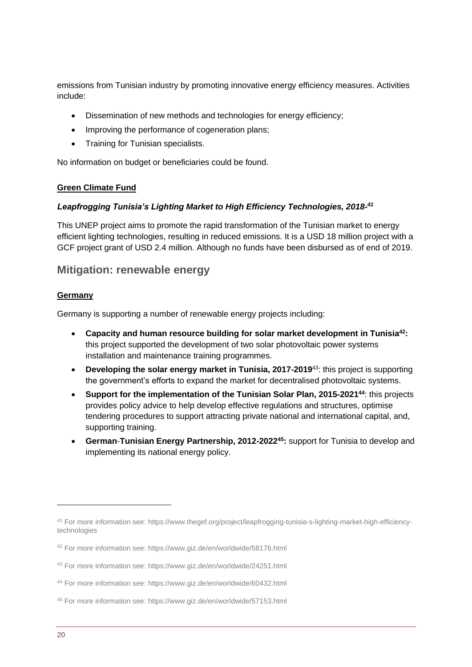emissions from Tunisian industry by promoting innovative energy efficiency measures. Activities include:

- Dissemination of new methods and technologies for energy efficiency;
- Improving the performance of cogeneration plans;
- Training for Tunisian specialists.

No information on budget or beneficiaries could be found.

### **Green Climate Fund**

## *Leapfrogging Tunisia's Lighting Market to High Efficiency Technologies, 2018- 41*

This UNEP project aims to promote the rapid transformation of the Tunisian market to energy efficient lighting technologies, resulting in reduced emissions. It is a USD 18 million project with a GCF project grant of USD 2.4 million. Although no funds have been disbursed as of end of 2019.

## **Mitigation: renewable energy**

### **Germany**

Germany is supporting a number of renewable energy projects including:

- **Capacity and human resource building for solar market development in Tunisia<sup>42</sup>:**  this project supported the development of two solar photovoltaic power systems installation and maintenance training programmes.
- **Developing the solar energy market in Tunisia, 2017-2019**<sup>43</sup>: this project is supporting the government's efforts to expand the market for decentralised photovoltaic systems.
- **Support for the implementation of the Tunisian Solar Plan, 2015-2021<sup>44</sup>**: this projects provides policy advice to help develop effective regulations and structures, optimise tendering procedures to support attracting private national and international capital, and, supporting training.
- **German**-**Tunisian Energy Partnership, 2012-2022<sup>45</sup>:** support for Tunisia to develop and implementing its national energy policy.

<sup>41</sup> For more information see: https://www.thegef.org/project/leapfrogging-tunisia-s-lighting-market-high-efficiencytechnologies

<sup>42</sup> For more information see: https://www.giz.de/en/worldwide/58176.html

<sup>43</sup> For more information see: https://www.giz.de/en/worldwide/24251.html

<sup>44</sup> For more information see: https://www.giz.de/en/worldwide/60432.html

<sup>45</sup> For more information see: https://www.giz.de/en/worldwide/57153.html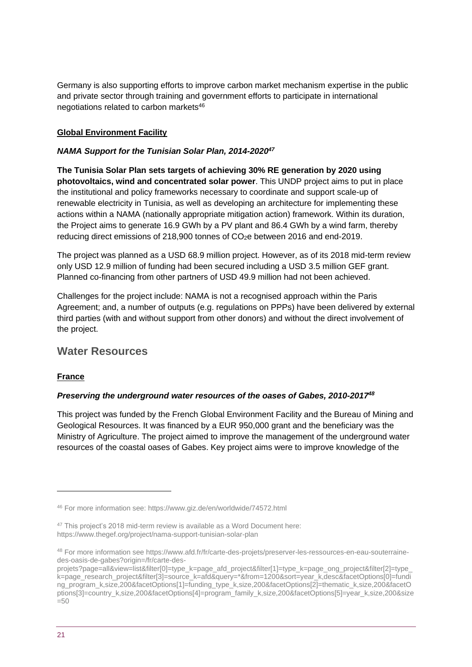Germany is also supporting efforts to improve carbon market mechanism expertise in the public and private sector through training and government efforts to participate in international negotiations related to carbon markets<sup>46</sup>

## **Global Environment Facility**

### *NAMA Support for the Tunisian Solar Plan, 2014-2020<sup>47</sup>*

**The Tunisia Solar Plan sets targets of achieving 30% RE generation by 2020 using photovoltaics, wind and concentrated solar power**. This UNDP project aims to put in place the institutional and policy frameworks necessary to coordinate and support scale-up of renewable electricity in Tunisia, as well as developing an architecture for implementing these actions within a NAMA (nationally appropriate mitigation action) framework. Within its duration, the Project aims to generate 16.9 GWh by a PV plant and 86.4 GWh by a wind farm, thereby reducing direct emissions of 218,900 tonnes of CO2e between 2016 and end-2019.

The project was planned as a USD 68.9 million project. However, as of its 2018 mid-term review only USD 12.9 million of funding had been secured including a USD 3.5 million GEF grant. Planned co-financing from other partners of USD 49.9 million had not been achieved.

Challenges for the project include: NAMA is not a recognised approach within the Paris Agreement; and, a number of outputs (e.g. regulations on PPPs) have been delivered by external third parties (with and without support from other donors) and without the direct involvement of the project.

## **Water Resources**

### **France**

### *Preserving the underground water resources of the oases of Gabes, 2010-2017<sup>48</sup>*

This project was funded by the French Global Environment Facility and the Bureau of Mining and Geological Resources. It was financed by a EUR 950,000 grant and the beneficiary was the Ministry of Agriculture. The project aimed to improve the management of the underground water resources of the coastal oases of Gabes. Key project aims were to improve knowledge of the

<sup>46</sup> For more information see: https://www.giz.de/en/worldwide/74572.html

<sup>47</sup> This project's 2018 mid-term review is available as a Word Document here: https://www.thegef.org/project/nama-support-tunisian-solar-plan

<sup>48</sup> For more information see https://www.afd.fr/fr/carte-des-projets/preserver-les-ressources-en-eau-souterrainedes-oasis-de-gabes?origin=/fr/carte-des-

projets?page=all&view=list&filter[0]=type\_k=page\_afd\_project&filter[1]=type\_k=page\_ong\_project&filter[2]=type\_ k=page\_research\_project&filter[3]=source\_k=afd&query=\*&from=1200&sort=year\_k,desc&facetOptions[0]=fundi ng\_program\_k,size,200&facetOptions[1]=funding\_type\_k,size,200&facetOptions[2]=thematic\_k,size,200&facetO ptions[3]=country\_k,size,200&facetOptions[4]=program\_family\_k,size,200&facetOptions[5]=year\_k,size,200&size  $=50$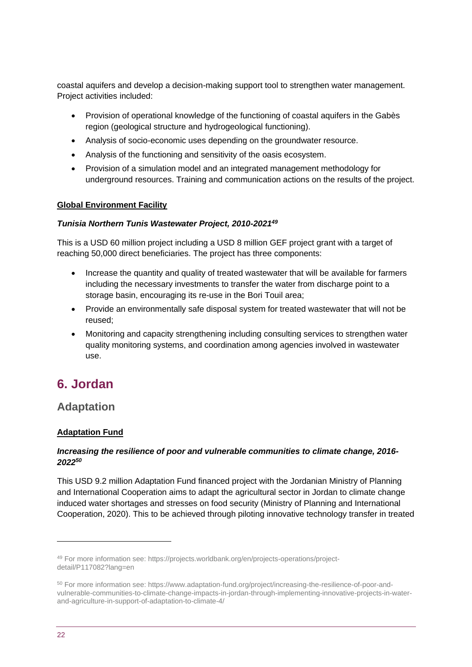coastal aquifers and develop a decision-making support tool to strengthen water management. Project activities included:

- Provision of operational knowledge of the functioning of coastal aquifers in the Gabès region (geological structure and hydrogeological functioning).
- Analysis of socio-economic uses depending on the groundwater resource.
- Analysis of the functioning and sensitivity of the oasis ecosystem.
- Provision of a simulation model and an integrated management methodology for underground resources. Training and communication actions on the results of the project.

### **Global Environment Facility**

#### *Tunisia Northern Tunis Wastewater Project, 2010-2021<sup>49</sup>*

This is a USD 60 million project including a USD 8 million GEF project grant with a target of reaching 50,000 direct beneficiaries. The project has three components:

- Increase the quantity and quality of treated wastewater that will be available for farmers including the necessary investments to transfer the water from discharge point to a storage basin, encouraging its re-use in the Bori Touil area;
- Provide an environmentally safe disposal system for treated wastewater that will not be reused;
- Monitoring and capacity strengthening including consulting services to strengthen water quality monitoring systems, and coordination among agencies involved in wastewater use.

## <span id="page-21-0"></span>**6. Jordan**

## **Adaptation**

### **Adaptation Fund**

### *Increasing the resilience of poor and vulnerable communities to climate change, 2016- 2022 50*

This USD 9.2 million Adaptation Fund financed project with the Jordanian Ministry of Planning and International Cooperation aims to adapt the agricultural sector in Jordan to climate change induced water shortages and stresses on food security (Ministry of Planning and International Cooperation, 2020). This to be achieved through piloting innovative technology transfer in treated

<sup>49</sup> For more information see: https://projects.worldbank.org/en/projects-operations/projectdetail/P117082?lang=en

<sup>50</sup> For more information see: https://www.adaptation-fund.org/project/increasing-the-resilience-of-poor-andvulnerable-communities-to-climate-change-impacts-in-jordan-through-implementing-innovative-projects-in-waterand-agriculture-in-support-of-adaptation-to-climate-4/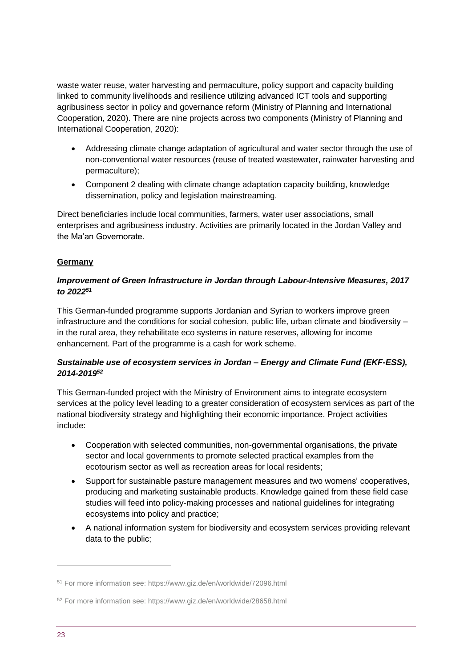waste water reuse, water harvesting and permaculture, policy support and capacity building linked to community livelihoods and resilience utilizing advanced ICT tools and supporting agribusiness sector in policy and governance reform (Ministry of Planning and International Cooperation, 2020). There are nine projects across two components (Ministry of Planning and International Cooperation, 2020):

- Addressing climate change adaptation of agricultural and water sector through the use of non-conventional water resources (reuse of treated wastewater, rainwater harvesting and permaculture);
- Component 2 dealing with climate change adaptation capacity building, knowledge dissemination, policy and legislation mainstreaming.

Direct beneficiaries include local communities, farmers, water user associations, small enterprises and agribusiness industry. Activities are primarily located in the Jordan Valley and the Ma'an Governorate.

## **Germany**

### *Improvement of Green Infrastructure in Jordan through Labour-Intensive Measures, 2017 to 2022<sup>51</sup>*

This German-funded programme supports Jordanian and Syrian to workers improve green infrastructure and the conditions for social cohesion, public life, urban climate and biodiversity – in the rural area, they rehabilitate eco systems in nature reserves, allowing for income enhancement. Part of the programme is a cash for work scheme.

## *Sustainable use of ecosystem services in Jordan – Energy and Climate Fund (EKF-ESS), 2014-2019<sup>52</sup>*

This German-funded project with the Ministry of Environment aims to integrate ecosystem services at the policy level leading to a greater consideration of ecosystem services as part of the national biodiversity strategy and highlighting their economic importance. Project activities include:

- Cooperation with selected communities, non-governmental organisations, the private sector and local governments to promote selected practical examples from the ecotourism sector as well as recreation areas for local residents;
- Support for sustainable pasture management measures and two womens' cooperatives, producing and marketing sustainable products. Knowledge gained from these field case studies will feed into policy-making processes and national guidelines for integrating ecosystems into policy and practice;
- A national information system for biodiversity and ecosystem services providing relevant data to the public;

<sup>51</sup> For more information see: https://www.giz.de/en/worldwide/72096.html

<sup>52</sup> For more information see: https://www.giz.de/en/worldwide/28658.html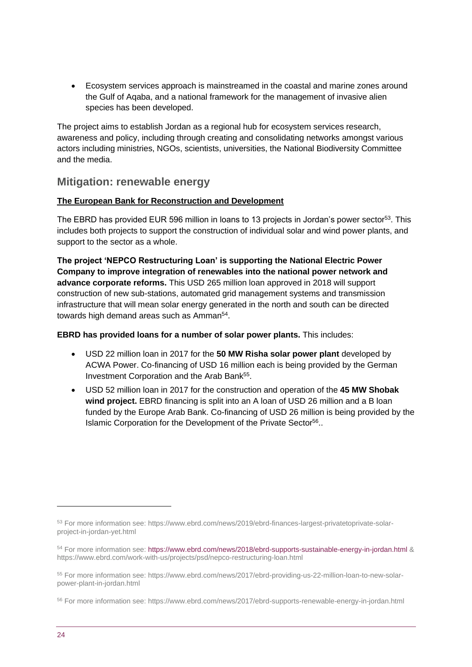• Ecosystem services approach is mainstreamed in the coastal and marine zones around the Gulf of Aqaba, and a national framework for the management of invasive alien species has been developed.

The project aims to establish Jordan as a regional hub for ecosystem services research, awareness and policy, including through creating and consolidating networks amongst various actors including ministries, NGOs, scientists, universities, the National Biodiversity Committee and the media.

## **Mitigation: renewable energy**

## **The European Bank for Reconstruction and Development**

The EBRD has provided EUR 596 million in loans to 13 projects in Jordan's power sector<sup>53</sup>. This includes both projects to support the construction of individual solar and wind power plants, and support to the sector as a whole.

**The project 'NEPCO Restructuring Loan' is supporting the National Electric Power Company to improve integration of renewables into the national power network and advance corporate reforms.** This USD 265 million loan approved in 2018 will support construction of new sub-stations, automated grid management systems and transmission infrastructure that will mean solar energy generated in the north and south can be directed towards high demand areas such as Amman<sup>54</sup>.

**EBRD has provided loans for a number of solar power plants.** This includes:

- USD 22 million loan in 2017 for the **50 MW Risha solar power plant** developed by ACWA Power. Co-financing of USD 16 million each is being provided by the German Investment Corporation and the Arab Bank<sup>55</sup>.
- USD 52 million loan in 2017 for the construction and operation of the **45 MW Shobak wind project.** EBRD financing is split into an A loan of USD 26 million and a B loan funded by the Europe Arab Bank. Co-financing of USD 26 million is being provided by the Islamic Corporation for the Development of the Private Sector<sup>56</sup>..

<sup>53</sup> For more information see: https://www.ebrd.com/news/2019/ebrd-finances-largest-privatetoprivate-solarproject-in-jordan-yet.html

<sup>54</sup> For more information see[: https://www.ebrd.com/news/2018/ebrd-supports-sustainable-energy-in-jordan.html](https://www.ebrd.com/news/2018/ebrd-supports-sustainable-energy-in-jordan.html) & https://www.ebrd.com/work-with-us/projects/psd/nepco-restructuring-loan.html

<sup>55</sup> For more information see: https://www.ebrd.com/news/2017/ebrd-providing-us-22-million-loan-to-new-solarpower-plant-in-jordan.html

<sup>56</sup> For more information see: https://www.ebrd.com/news/2017/ebrd-supports-renewable-energy-in-jordan.html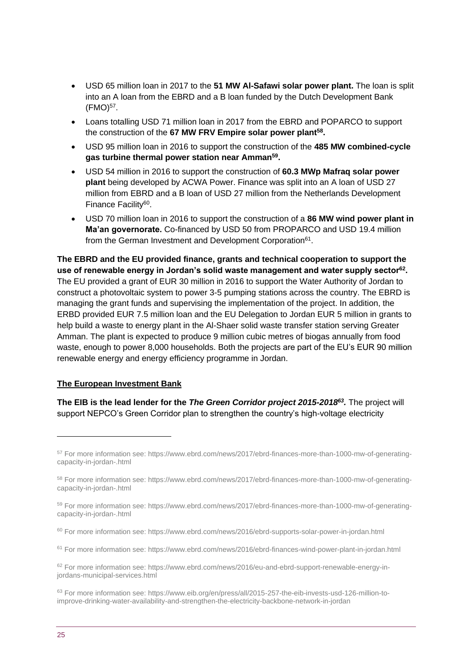- USD 65 million loan in 2017 to the **51 MW Al-Safawi solar power plant.** The loan is split into an A loan from the EBRD and a B loan funded by the Dutch Development Bank  $(FMO)^{57}$ .
- Loans totalling USD 71 million loan in 2017 from the EBRD and POPARCO to support the construction of the **67 MW FRV Empire solar power plant<sup>58</sup> .**
- USD 95 million loan in 2016 to support the construction of the **485 MW combined-cycle gas turbine thermal power station near Amman<sup>59</sup> .**
- USD 54 million in 2016 to support the construction of **60.3 MWp Mafraq solar power plant** being developed by ACWA Power. Finance was split into an A loan of USD 27 million from EBRD and a B loan of USD 27 million from the Netherlands Development Finance Facility<sup>60</sup>.
- USD 70 million loan in 2016 to support the construction of a **86 MW wind power plant in Ma'an governorate.** Co-financed by USD 50 from PROPARCO and USD 19.4 million from the German Investment and Development Corporation<sup>61</sup>.

**The EBRD and the EU provided finance, grants and technical cooperation to support the use of renewable energy in Jordan's solid waste management and water supply sector<sup>62</sup> .**  The EU provided a grant of EUR 30 million in 2016 to support the Water Authority of Jordan to construct a photovoltaic system to power 3-5 pumping stations across the country. The EBRD is managing the grant funds and supervising the implementation of the project. In addition, the ERBD provided EUR 7.5 million loan and the EU Delegation to Jordan EUR 5 million in grants to help build a waste to energy plant in the Al-Shaer solid waste transfer station serving Greater Amman. The plant is expected to produce 9 million cubic metres of biogas annually from food waste, enough to power 8,000 households. Both the projects are part of the EU's EUR 90 million renewable energy and energy efficiency programme in Jordan.

#### **The European Investment Bank**

**The EIB is the lead lender for the** *The Green Corridor project 2015-2018<sup>63</sup> .* The project will support NEPCO's Green Corridor plan to strengthen the country's high-voltage electricity

<sup>57</sup> For more information see: https://www.ebrd.com/news/2017/ebrd-finances-more-than-1000-mw-of-generatingcapacity-in-jordan-.html

<sup>58</sup> For more information see: https://www.ebrd.com/news/2017/ebrd-finances-more-than-1000-mw-of-generatingcapacity-in-jordan-.html

<sup>59</sup> For more information see: https://www.ebrd.com/news/2017/ebrd-finances-more-than-1000-mw-of-generatingcapacity-in-jordan-.html

<sup>60</sup> For more information see: https://www.ebrd.com/news/2016/ebrd-supports-solar-power-in-jordan.html

<sup>61</sup> For more information see: https://www.ebrd.com/news/2016/ebrd-finances-wind-power-plant-in-jordan.html

<sup>62</sup> For more information see: https://www.ebrd.com/news/2016/eu-and-ebrd-support-renewable-energy-injordans-municipal-services.html

<sup>63</sup> For more information see: https://www.eib.org/en/press/all/2015-257-the-eib-invests-usd-126-million-toimprove-drinking-water-availability-and-strengthen-the-electricity-backbone-network-in-jordan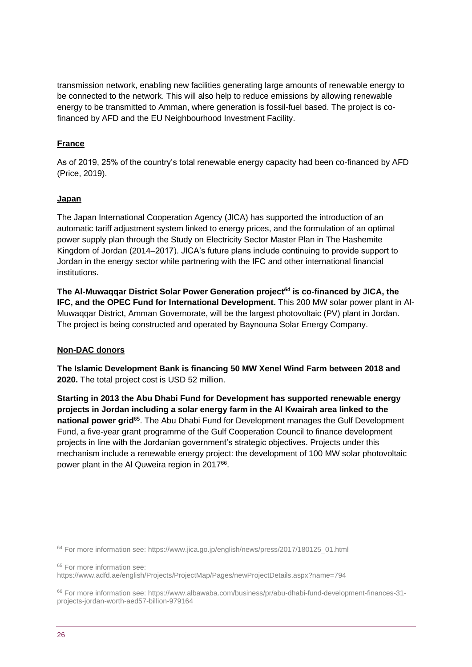transmission network, enabling new facilities generating large amounts of renewable energy to be connected to the network. This will also help to reduce emissions by allowing renewable energy to be transmitted to Amman, where generation is fossil-fuel based. The project is cofinanced by AFD and the EU Neighbourhood Investment Facility.

## **France**

As of 2019, 25% of the country's total renewable energy capacity had been co-financed by AFD (Price, 2019).

## **Japan**

The Japan International Cooperation Agency (JICA) has supported the introduction of an automatic tariff adjustment system linked to energy prices, and the formulation of an optimal power supply plan through the Study on Electricity Sector Master Plan in The Hashemite Kingdom of Jordan (2014–2017). JICA's future plans include continuing to provide support to Jordan in the energy sector while partnering with the IFC and other international financial institutions.

**The Al-Muwaqqar District Solar Power Generation project***<sup>64</sup>* **is co-financed by JICA, the IFC, and the OPEC Fund for International Development.** This 200 MW solar power plant in Al-Muwaqqar District, Amman Governorate, will be the largest photovoltaic (PV) plant in Jordan. The project is being constructed and operated by Baynouna Solar Energy Company.

### **Non-DAC donors**

**The Islamic Development Bank is financing 50 MW Xenel Wind Farm between 2018 and 2020.** The total project cost is USD 52 million.

**Starting in 2013 the Abu Dhabi Fund for Development has supported renewable energy projects in Jordan including a solar energy farm in the Al Kwairah area linked to the**  national power grid<sup>65</sup>. The Abu Dhabi Fund for Development manages the Gulf Development Fund, a five-year grant programme of the Gulf Cooperation Council to finance development projects in line with the Jordanian government's strategic objectives. Projects under this mechanism include a renewable energy project: the development of 100 MW solar photovoltaic power plant in the AI Quweira region in 2017<sup>66</sup>.

<sup>65</sup> For more information see:

https://www.adfd.ae/english/Projects/ProjectMap/Pages/newProjectDetails.aspx?name=794

<sup>64</sup> For more information see: https://www.jica.go.jp/english/news/press/2017/180125\_01.html

<sup>66</sup> For more information see: https://www.albawaba.com/business/pr/abu-dhabi-fund-development-finances-31 projects-jordan-worth-aed57-billion-979164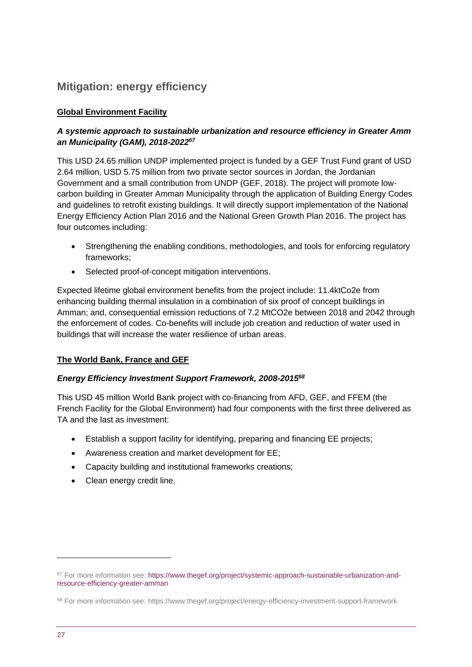## **Mitigation: energy efficiency**

## **Global Environment Facility**

## *A systemic approach to sustainable urbanization and resource efficiency in Greater Amm an Municipality (GAM), 2018-2022<sup>67</sup>*

This USD 24.65 million UNDP implemented project is funded by a GEF Trust Fund grant of USD 2.64 million, USD 5.75 million from two private sector sources in Jordan, the Jordanian Government and a small contribution from UNDP (GEF, 2018). The project will promote lowcarbon building in Greater Amman Municipality through the application of Building Energy Codes and guidelines to retrofit existing buildings. It will directly support implementation of the National Energy Efficiency Action Plan 2016 and the National Green Growth Plan 2016. The project has four outcomes including:

- Strengthening the enabling conditions, methodologies, and tools for enforcing regulatory frameworks;
- Selected proof-of-concept mitigation interventions.

Expected lifetime global environment benefits from the project include: 11.4ktCo2e from enhancing building thermal insulation in a combination of six proof of concept buildings in Amman; and, consequential emission reductions of 7.2 MtCO2e between 2018 and 2042 through the enforcement of codes. Co-benefits will include job creation and reduction of water used in buildings that will increase the water resilience of urban areas.

### **The World Bank, France and GEF**

### *Energy Efficiency Investment Support Framework, 2008-2015<sup>68</sup>*

This USD 45 million World Bank project with co-financing from AFD, GEF, and FFEM (the French Facility for the Global Environment) had four components with the first three delivered as TA and the last as investment:

- Establish a support facility for identifying, preparing and financing EE projects;
- Awareness creation and market development for EE;
- Capacity building and institutional frameworks creations;
- Clean energy credit line.

<sup>&</sup>lt;sup>67</sup> For more information see[: https://www.thegef.org/project/systemic-approach-sustainable-urbanization-and](https://www.thegef.org/project/systemic-approach-sustainable-urbanization-and-resource-efficiency-greater-amman)[resource-efficiency-greater-amman](https://www.thegef.org/project/systemic-approach-sustainable-urbanization-and-resource-efficiency-greater-amman)

<sup>68</sup> For more information see: https://www.thegef.org/project/energy-efficiency-investment-support-framework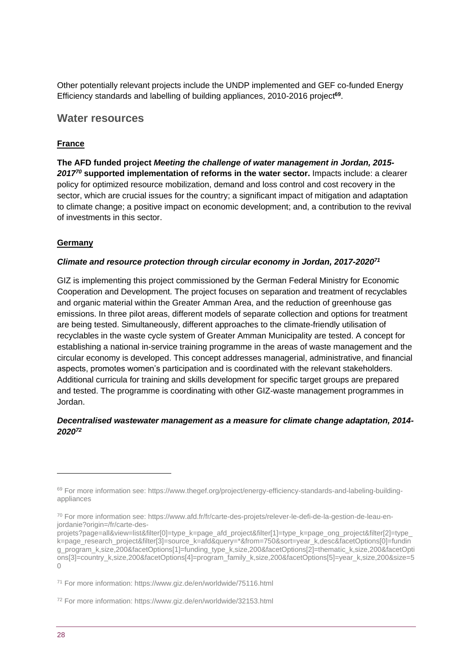Other potentially relevant projects include the UNDP implemented and GEF co-funded Energy Efficiency standards and labelling of building appliances, 2010-2016 project**<sup>69</sup>** .

## **Water resources**

## **France**

**The AFD funded project** *Meeting the challenge of water management in Jordan, 2015- 2017<sup>70</sup>* **supported implementation of reforms in the water sector.** Impacts include: a clearer policy for optimized resource mobilization, demand and loss control and cost recovery in the sector, which are crucial issues for the country; a significant impact of mitigation and adaptation to climate change; a positive impact on economic development; and, a contribution to the revival of investments in this sector.

## **Germany**

### *Climate and resource protection through circular economy in Jordan, 2017-2020<sup>71</sup>*

GIZ is implementing this project commissioned by the German Federal Ministry for Economic Cooperation and Development. The project focuses on separation and treatment of recyclables and organic material within the Greater Amman Area, and the reduction of greenhouse gas emissions. In three pilot areas, different models of separate collection and options for treatment are being tested. Simultaneously, different approaches to the climate-friendly utilisation of recyclables in the waste cycle system of Greater Amman Municipality are tested. A concept for establishing a national in-service training programme in the areas of waste management and the circular economy is developed. This concept addresses managerial, administrative, and financial aspects, promotes women's participation and is coordinated with the relevant stakeholders. Additional curricula for training and skills development for specific target groups are prepared and tested. The programme is coordinating with other GIZ-waste management programmes in Jordan.

### *Decentralised wastewater management as a measure for climate change adaptation, 2014- 2020<sup>72</sup>*

<sup>69</sup> For more information see: https://www.thegef.org/project/energy-efficiency-standards-and-labeling-buildingappliances

<sup>70</sup> For more information see: https://www.afd.fr/fr/carte-des-projets/relever-le-defi-de-la-gestion-de-leau-enjordanie?origin=/fr/carte-des-

projets?page=all&view=list&filter[0]=type\_k=page\_afd\_project&filter[1]=type\_k=page\_ong\_project&filter[2]=type\_ k=page\_research\_project&filter[3]=source\_k=afd&query=\*&from=750&sort=year\_k,desc&facetOptions[0]=fundin g\_program\_k,size,200&facetOptions[1]=funding\_type\_k,size,200&facetOptions[2]=thematic\_k,size,200&facetOpti ons[3]=country\_k,size,200&facetOptions[4]=program\_family\_k,size,200&facetOptions[5]=year\_k,size,200&size=5  $\bigcap$ 

<sup>71</sup> For more information: https://www.giz.de/en/worldwide/75116.html

<sup>72</sup> For more information: https://www.giz.de/en/worldwide/32153.html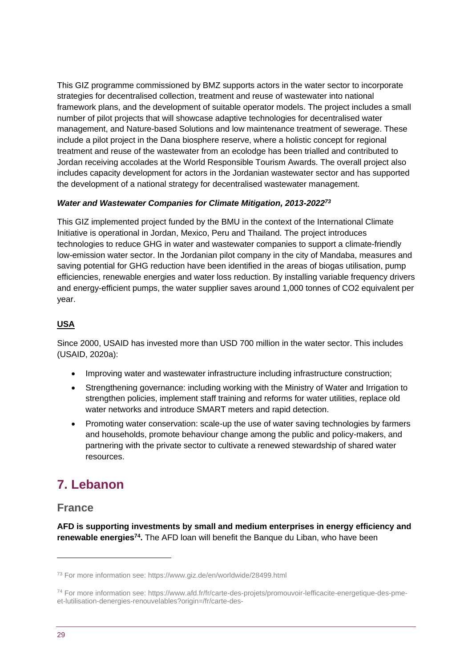This GIZ programme commissioned by BMZ supports actors in the water sector to incorporate strategies for decentralised collection, treatment and reuse of wastewater into national framework plans, and the development of suitable operator models. The project includes a small number of pilot projects that will showcase adaptive technologies for decentralised water management, and Nature-based Solutions and low maintenance treatment of sewerage. These include a pilot project in the Dana biosphere reserve, where a holistic concept for regional treatment and reuse of the wastewater from an ecolodge has been trialled and contributed to Jordan receiving accolades at the World Responsible Tourism Awards. The overall project also includes capacity development for actors in the Jordanian wastewater sector and has supported the development of a national strategy for decentralised wastewater management.

## *Water and Wastewater Companies for Climate Mitigation, 2013-2022<sup>73</sup>*

This GIZ implemented project funded by the BMU in the context of the International Climate Initiative is operational in Jordan, Mexico, Peru and Thailand. The project introduces technologies to reduce GHG in water and wastewater companies to support a climate-friendly low-emission water sector. In the Jordanian pilot company in the city of Mandaba, measures and saving potential for GHG reduction have been identified in the areas of biogas utilisation, pump efficiencies, renewable energies and water loss reduction. By installing variable frequency drivers and energy-efficient pumps, the water supplier saves around 1,000 tonnes of CO2 equivalent per year.

## **USA**

Since 2000, USAID has invested more than USD 700 million in the water sector. This includes (USAID, 2020a):

- Improving water and wastewater infrastructure including infrastructure construction;
- Strengthening governance: including working with the Ministry of Water and Irrigation to strengthen policies, implement staff training and reforms for water utilities, replace old water networks and introduce SMART meters and rapid detection.
- Promoting water conservation: scale-up the use of water saving technologies by farmers and households, promote behaviour change among the public and policy-makers, and partnering with the private sector to cultivate a renewed stewardship of shared water resources.

## <span id="page-28-0"></span>**7. Lebanon**

## **France**

**AFD is supporting investments by small and medium enterprises in energy efficiency and renewable energies<sup>74</sup> .** The AFD loan will benefit the Banque du Liban, who have been

<sup>73</sup> For more information see: https://www.giz.de/en/worldwide/28499.html

<sup>74</sup> For more information see: https://www.afd.fr/fr/carte-des-projets/promouvoir-lefficacite-energetique-des-pmeet-lutilisation-denergies-renouvelables?origin=/fr/carte-des-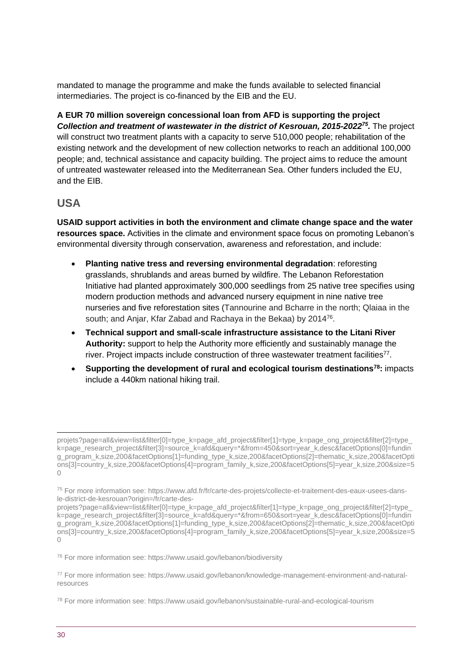mandated to manage the programme and make the funds available to selected financial intermediaries. The project is co-financed by the EIB and the EU.

**A EUR 70 million sovereign concessional loan from AFD is supporting the project**  *Collection and treatment of wastewater in the district of Kesrouan, 2015-2022<sup>75</sup> .* The project will construct two treatment plants with a capacity to serve 510,000 people; rehabilitation of the existing network and the development of new collection networks to reach an additional 100,000 people; and, technical assistance and capacity building. The project aims to reduce the amount of untreated wastewater released into the Mediterranean Sea. Other funders included the EU, and the EIB.

## **USA**

**USAID support activities in both the environment and climate change space and the water resources space.** Activities in the climate and environment space focus on promoting Lebanon's environmental diversity through conservation, awareness and reforestation, and include:

- **Planting native tress and reversing environmental degradation**: reforesting grasslands, shrublands and areas burned by wildfire. The Lebanon Reforestation Initiative had planted approximately 300,000 seedlings from 25 native tree specifies using modern production methods and advanced nursery equipment in nine native tree nurseries and five reforestation sites (Tannourine and Bcharre in the north; Qlaiaa in the south; and Anjar, Kfar Zabad and Rachaya in the Bekaa) by 2014<sup>76</sup>.
- **Technical support and small-scale infrastructure assistance to the Litani River Authority:** support to help the Authority more efficiently and sustainably manage the river. Project impacts include construction of three wastewater treatment facilities<sup>77</sup>.
- **Supporting the development of rural and ecological tourism destinations<sup>78</sup>:** impacts include a 440km national hiking trail.

<sup>76</sup> For more information see: https://www.usaid.gov/lebanon/biodiversity

projets?page=all&view=list&filter[0]=type\_k=page\_afd\_project&filter[1]=type\_k=page\_ong\_project&filter[2]=type k=page\_research\_project&filter[3]=source\_k=afd&query=\*&from=450&sort=year\_k,desc&facetOptions[0]=fundin g\_program\_k,size,200&facetOptions[1]=funding\_type\_k,size,200&facetOptions[2]=thematic\_k,size,200&facetOpti ons[3]=country\_k,size,200&facetOptions[4]=program\_family\_k,size,200&facetOptions[5]=year\_k,size,200&size=5 0

<sup>75</sup> For more information see: https://www.afd.fr/fr/carte-des-projets/collecte-et-traitement-des-eaux-usees-dansle-district-de-kesrouan?origin=/fr/carte-des-

projets?page=all&view=list&filter[0]=type\_k=page\_afd\_project&filter[1]=type\_k=page\_ong\_project&filter[2]=type\_ k=page\_research\_project&filter[3]=source\_k=afd&query=\*&from=650&sort=year\_k,desc&facetOptions[0]=fundin g\_program\_k,size,200&facetOptions[1]=funding\_type\_k,size,200&facetOptions[2]=thematic\_k,size,200&facetOpti ons[3]=country\_k,size,200&facetOptions[4]=program\_family\_k,size,200&facetOptions[5]=year\_k,size,200&size=5  $\cap$ 

<sup>77</sup> For more information see: https://www.usaid.gov/lebanon/knowledge-management-environment-and-naturalresources

<sup>78</sup> For more information see: https://www.usaid.gov/lebanon/sustainable-rural-and-ecological-tourism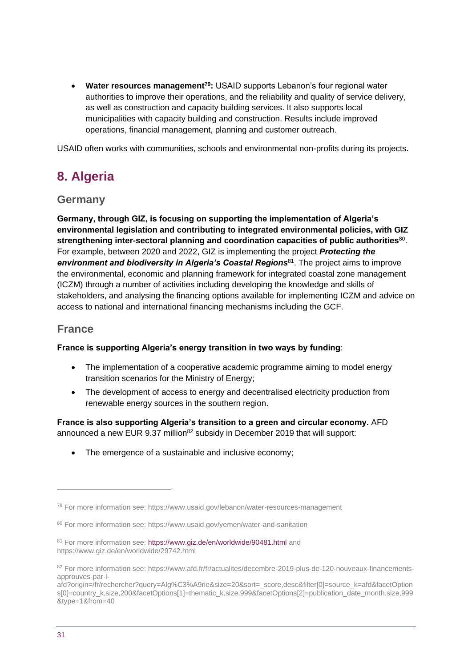• **Water resources management<sup>79</sup>:** USAID supports Lebanon's four regional water authorities to improve their operations, and the reliability and quality of service delivery, as well as construction and capacity building services. It also supports local municipalities with capacity building and construction. Results include improved operations, financial management, planning and customer outreach.

USAID often works with communities, schools and environmental non-profits during its projects.

## <span id="page-30-0"></span>**8. Algeria**

## **Germany**

**Germany, through GIZ, is focusing on supporting the implementation of Algeria's environmental legislation and contributing to integrated environmental policies, with GIZ**  strengthening inter-sectoral planning and coordination capacities of public authorities<sup>80</sup>. For example, between 2020 and 2022, GIZ is implementing the project *Protecting the*  environment and biodiversity in Algeria's Coastal Regions<sup>81</sup>. The project aims to improve the environmental, economic and planning framework for integrated coastal zone management (ICZM) through a number of activities including developing the knowledge and skills of stakeholders, and analysing the financing options available for implementing ICZM and advice on access to national and international financing mechanisms including the GCF.

## **France**

### **France is supporting Algeria's energy transition in two ways by funding**:

- The implementation of a cooperative academic programme aiming to model energy transition scenarios for the Ministry of Energy;
- The development of access to energy and decentralised electricity production from renewable energy sources in the southern region.

**France is also supporting Algeria's transition to a green and circular economy.** AFD announced a new EUR  $9.37$  million<sup>82</sup> subsidy in December 2019 that will support:

• The emergence of a sustainable and inclusive economy;

<sup>79</sup> For more information see: https://www.usaid.gov/lebanon/water-resources-management

<sup>80</sup> For more information see: https://www.usaid.gov/yemen/water-and-sanitation

<sup>81</sup> For more information see[: https://www.giz.de/en/worldwide/90481.html](https://www.giz.de/en/worldwide/90481.html) and https://www.giz.de/en/worldwide/29742.html

<sup>82</sup> For more information see: https://www.afd.fr/fr/actualites/decembre-2019-plus-de-120-nouveaux-financementsapprouves-par-l-

afd?origin=/fr/rechercher?query=Alg%C3%A9rie&size=20&sort=\_score,desc&filter[0]=source\_k=afd&facetOption s[0]=country\_k,size,200&facetOptions[1]=thematic\_k,size,999&facetOptions[2]=publication\_date\_month,size,999 &type=1&from=40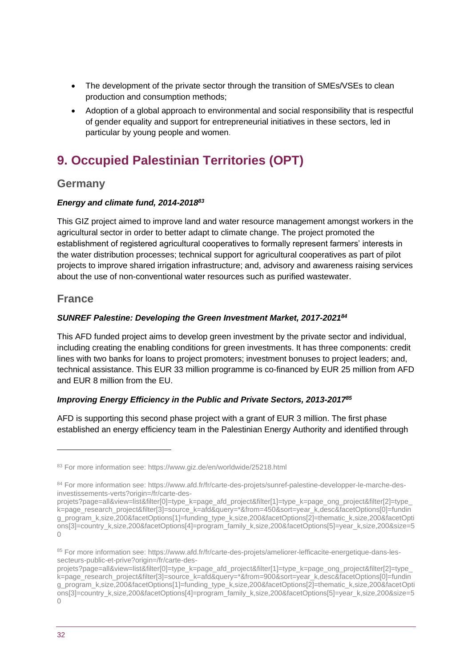- The development of the private sector through the transition of SMEs/VSEs to clean production and consumption methods;
- Adoption of a global approach to environmental and social responsibility that is respectful of gender equality and support for entrepreneurial initiatives in these sectors, led in particular by young people and women.

## <span id="page-31-0"></span>**9. Occupied Palestinian Territories (OPT)**

## **Germany**

## *Energy and climate fund, 2014-2018<sup>83</sup>*

This GIZ project aimed to improve land and water resource management amongst workers in the agricultural sector in order to better adapt to climate change. The project promoted the establishment of registered agricultural cooperatives to formally represent farmers' interests in the water distribution processes; technical support for agricultural cooperatives as part of pilot projects to improve shared irrigation infrastructure; and, advisory and awareness raising services about the use of non-conventional water resources such as purified wastewater.

## **France**

## *SUNREF Palestine: Developing the Green Investment Market, 2017-2021<sup>84</sup>*

This AFD funded project aims to develop green investment by the private sector and individual, including creating the enabling conditions for green investments. It has three components: credit lines with two banks for loans to project promoters; investment bonuses to project leaders; and, technical assistance. This EUR 33 million programme is co-financed by EUR 25 million from AFD and EUR 8 million from the EU.

## *Improving Energy Efficiency in the Public and Private Sectors, 2013-2017<sup>85</sup>*

AFD is supporting this second phase project with a grant of EUR 3 million. The first phase established an energy efficiency team in the Palestinian Energy Authority and identified through

<sup>83</sup> For more information see: https://www.giz.de/en/worldwide/25218.html

<sup>84</sup> For more information see: https://www.afd.fr/fr/carte-des-projets/sunref-palestine-developper-le-marche-desinvestissements-verts?origin=/fr/carte-des-

projets?page=all&view=list&filter[0]=type\_k=page\_afd\_project&filter[1]=type\_k=page\_ong\_project&filter[2]=type\_ k=page\_research\_project&filter[3]=source\_k=afd&guery=\*&from=450&sort=year\_k,desc&facetOptions[0]=fundin g\_program\_k,size,200&facetOptions[1]=funding\_type\_k,size,200&facetOptions[2]=thematic\_k,size,200&facetOpti ons[3]=country\_k,size,200&facetOptions[4]=program\_family\_k,size,200&facetOptions[5]=year\_k,size,200&size=5  $\bigcap$ 

<sup>85</sup> For more information see: https://www.afd.fr/fr/carte-des-projets/ameliorer-lefficacite-energetique-dans-lessecteurs-public-et-prive?origin=/fr/carte-des-

projets?page=all&view=list&filter[0]=type\_k=page\_afd\_project&filter[1]=type\_k=page\_ong\_project&filter[2]=type k=page\_research\_project&filter[3]=source\_k=afd&query=\*&from=900&sort=year\_k,desc&facetOptions[0]=fundin g\_program\_k,size,200&facetOptions[1]=funding\_type\_k,size,200&facetOptions[2]=thematic\_k,size,200&facetOpti ons[3]=country\_k,size,200&facetOptions[4]=program\_family\_k,size,200&facetOptions[5]=year\_k,size,200&size=5  $\bigcap$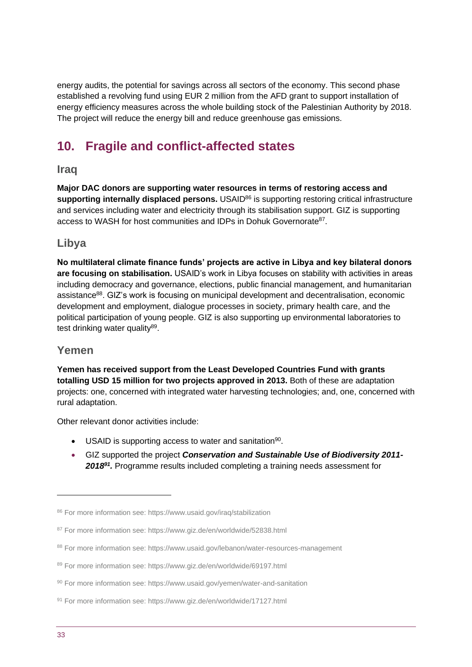energy audits, the potential for savings across all sectors of the economy. This second phase established a revolving fund using EUR 2 million from the AFD grant to support installation of energy efficiency measures across the whole building stock of the Palestinian Authority by 2018. The project will reduce the energy bill and reduce greenhouse gas emissions.

## <span id="page-32-0"></span>**10. Fragile and conflict-affected states**

## **Iraq**

**Major DAC donors are supporting water resources in terms of restoring access and**  supporting internally displaced persons. USAID<sup>86</sup> is supporting restoring critical infrastructure and services including water and electricity through its stabilisation support. GIZ is supporting access to WASH for host communities and IDPs in Dohuk Governorate<sup>87</sup>.

## **Libya**

**No multilateral climate finance funds' projects are active in Libya and key bilateral donors are focusing on stabilisation.** USAID's work in Libya focuses on stability with activities in areas including democracy and governance, elections, public financial management, and humanitarian assistance<sup>88</sup>. GIZ's work is focusing on municipal development and decentralisation, economic development and employment, dialogue processes in society, primary health care, and the political participation of young people. GIZ is also supporting up environmental laboratories to test drinking water quality<sup>89</sup>.

## **Yemen**

**Yemen has received support from the Least Developed Countries Fund with grants totalling USD 15 million for two projects approved in 2013.** Both of these are adaptation projects: one, concerned with integrated water harvesting technologies; and, one, concerned with rural adaptation.

Other relevant donor activities include:

- USAID is supporting access to water and sanitation<sup>90</sup>.
- GIZ supported the project *Conservation and Sustainable Use of Biodiversity 2011- 2018<sup>91</sup> .* Programme results included completing a training needs assessment for

<sup>86</sup> For more information see: https://www.usaid.gov/iraq/stabilization

<sup>87</sup> For more information see: https://www.giz.de/en/worldwide/52838.html

<sup>88</sup> For more information see: https://www.usaid.gov/lebanon/water-resources-management

<sup>89</sup> For more information see: https://www.giz.de/en/worldwide/69197.html

<sup>90</sup> For more information see: https://www.usaid.gov/yemen/water-and-sanitation

<sup>91</sup> For more information see: https://www.giz.de/en/worldwide/17127.html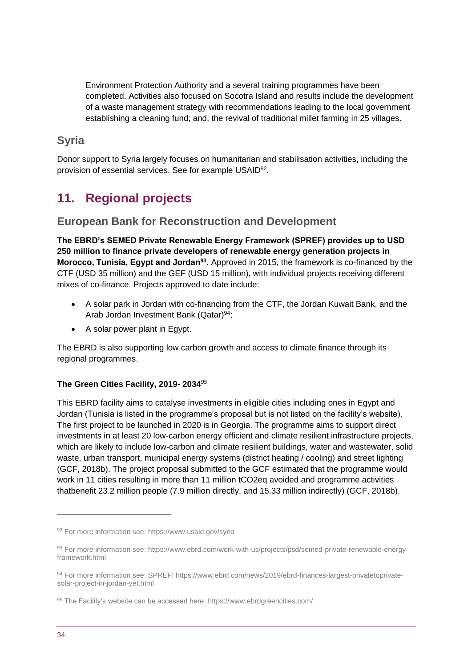Environment Protection Authority and a several training programmes have been completed. Activities also focused on Socotra Island and results include the development of a waste management strategy with recommendations leading to the local government establishing a cleaning fund; and, the revival of traditional millet farming in 25 villages.

## **Syria**

Donor support to Syria largely focuses on humanitarian and stabilisation activities, including the provision of essential services. See for example USAID<sup>92</sup>.

## <span id="page-33-0"></span>**11. Regional projects**

## **European Bank for Reconstruction and Development**

**The EBRD's SEMED Private Renewable Energy Framework (SPREF) provides up to USD 250 million to finance private developers of renewable energy generation projects in Morocco, Tunisia, Egypt and Jordan<sup>93</sup> .** Approved in 2015, the framework is co-financed by the CTF (USD 35 million) and the GEF (USD 15 million), with individual projects receiving different mixes of co-finance. Projects approved to date include:

- A solar park in Jordan with co-financing from the CTF, the Jordan Kuwait Bank, and the Arab Jordan Investment Bank (Qatar)<sup>94</sup>;
- A solar power plant in Egypt.

The EBRD is also supporting low carbon growth and access to climate finance through its regional programmes.

## **The Green Cities Facility, 2019- 2034***<sup>95</sup>*

This EBRD facility aims to catalyse investments in eligible cities including ones in Egypt and Jordan (Tunisia is listed in the programme's proposal but is not listed on the facility's website). The first project to be launched in 2020 is in Georgia. The programme aims to support direct investments in at least 20 low-carbon energy efficient and climate resilient infrastructure projects, which are likely to include low-carbon and climate resilient buildings, water and wastewater, solid waste, urban transport, municipal energy systems (district heating / cooling) and street lighting (GCF, 2018b). The project proposal submitted to the GCF estimated that the programme would work in 11 cities resulting in more than 11 million tCO2eq avoided and programme activities thatbenefit 23.2 million people (7.9 million directly, and 15.33 million indirectly) (GCF, 2018b).

<sup>92</sup> For more information see: https://www.usaid.gov/syria

<sup>93</sup> For more information see: https://www.ebrd.com/work-with-us/projects/psd/semed-private-renewable-energyframework.html

<sup>94</sup> For more information see: SPREF: https://www.ebrd.com/news/2019/ebrd-finances-largest-privatetoprivatesolar-project-in-jordan-yet.html

<sup>95</sup> The Facility's website can be accessed here: https://www.ebrdgreencities.com/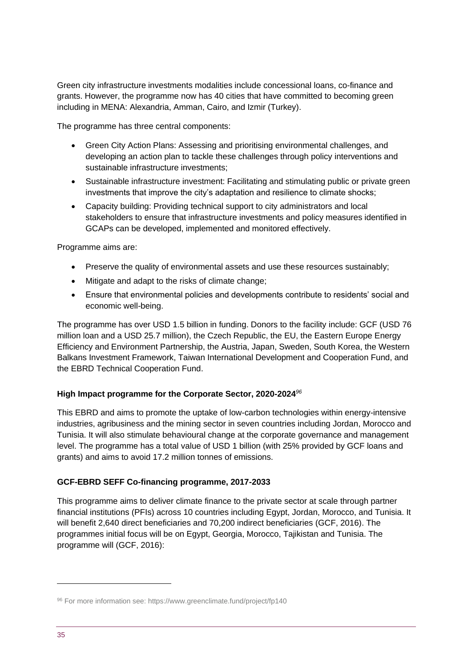Green city infrastructure investments modalities include concessional loans, co-finance and grants. However, the programme now has 40 cities that have committed to becoming green including in MENA: Alexandria, Amman, Cairo, and Izmir (Turkey).

The programme has three central components:

- Green City Action Plans: Assessing and prioritising environmental challenges, and developing an action plan to tackle these challenges through policy interventions and sustainable infrastructure investments;
- Sustainable infrastructure investment: Facilitating and stimulating public or private green investments that improve the city's adaptation and resilience to climate shocks;
- Capacity building: Providing technical support to city administrators and local stakeholders to ensure that infrastructure investments and policy measures identified in GCAPs can be developed, implemented and monitored effectively.

Programme aims are:

- Preserve the quality of environmental assets and use these resources sustainably;
- Mitigate and adapt to the risks of climate change;
- Ensure that environmental policies and developments contribute to residents' social and economic well-being.

The programme has over USD 1.5 billion in funding. Donors to the facility include: GCF (USD 76 million loan and a USD 25.7 million), the Czech Republic, the EU, the Eastern Europe Energy Efficiency and Environment Partnership, the Austria, Japan, Sweden, South Korea, the Western Balkans Investment Framework, Taiwan International Development and Cooperation Fund, and the EBRD Technical Cooperation Fund.

## **High Impact programme for the Corporate Sector, 2020-2024***<sup>96</sup>*

This EBRD and aims to promote the uptake of low-carbon technologies within energy-intensive industries, agribusiness and the mining sector in seven countries including Jordan, Morocco and Tunisia. It will also stimulate behavioural change at the corporate governance and management level. The programme has a total value of USD 1 billion (with 25% provided by GCF loans and grants) and aims to avoid 17.2 million tonnes of emissions.

## **GCF-EBRD SEFF Co-financing programme, 2017-2033**

This programme aims to deliver climate finance to the private sector at scale through partner financial institutions (PFIs) across 10 countries including Egypt, Jordan, Morocco, and Tunisia. It will benefit 2,640 direct beneficiaries and 70,200 indirect beneficiaries (GCF, 2016). The programmes initial focus will be on Egypt, Georgia, Morocco, Tajikistan and Tunisia. The programme will (GCF, 2016):

<sup>96</sup> For more information see: https://www.greenclimate.fund/project/fp140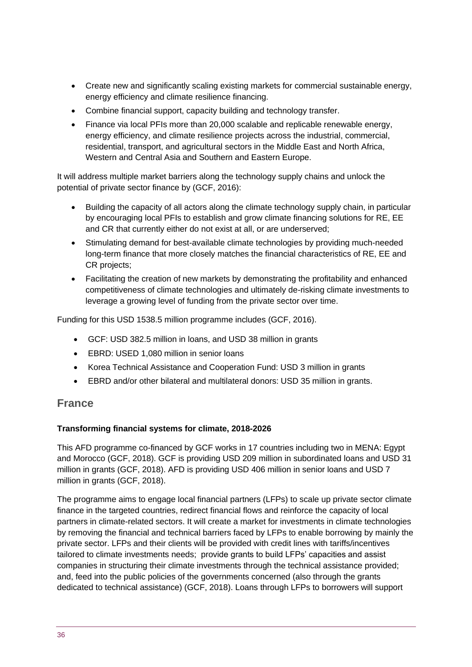- Create new and significantly scaling existing markets for commercial sustainable energy, energy efficiency and climate resilience financing.
- Combine financial support, capacity building and technology transfer.
- Finance via local PFIs more than 20,000 scalable and replicable renewable energy, energy efficiency, and climate resilience projects across the industrial, commercial, residential, transport, and agricultural sectors in the Middle East and North Africa, Western and Central Asia and Southern and Eastern Europe.

It will address multiple market barriers along the technology supply chains and unlock the potential of private sector finance by (GCF, 2016):

- Building the capacity of all actors along the climate technology supply chain, in particular by encouraging local PFIs to establish and grow climate financing solutions for RE, EE and CR that currently either do not exist at all, or are underserved;
- Stimulating demand for best-available climate technologies by providing much-needed long-term finance that more closely matches the financial characteristics of RE, EE and CR projects;
- Facilitating the creation of new markets by demonstrating the profitability and enhanced competitiveness of climate technologies and ultimately de-risking climate investments to leverage a growing level of funding from the private sector over time.

Funding for this USD 1538.5 million programme includes (GCF, 2016).

- GCF: USD 382.5 million in loans, and USD 38 million in grants
- EBRD: USED 1,080 million in senior loans
- Korea Technical Assistance and Cooperation Fund: USD 3 million in grants
- EBRD and/or other bilateral and multilateral donors: USD 35 million in grants.

## **France**

### **Transforming financial systems for climate, 2018-2026**

This AFD programme co-financed by GCF works in 17 countries including two in MENA: Egypt and Morocco (GCF, 2018). GCF is providing USD 209 million in subordinated loans and USD 31 million in grants (GCF, 2018). AFD is providing USD 406 million in senior loans and USD 7 million in grants (GCF, 2018).

The programme aims to engage local financial partners (LFPs) to scale up private sector climate finance in the targeted countries, redirect financial flows and reinforce the capacity of local partners in climate-related sectors. It will create a market for investments in climate technologies by removing the financial and technical barriers faced by LFPs to enable borrowing by mainly the private sector. LFPs and their clients will be provided with credit lines with tariffs/incentives tailored to climate investments needs; provide grants to build LFPs' capacities and assist companies in structuring their climate investments through the technical assistance provided; and, feed into the public policies of the governments concerned (also through the grants dedicated to technical assistance) (GCF, 2018). Loans through LFPs to borrowers will support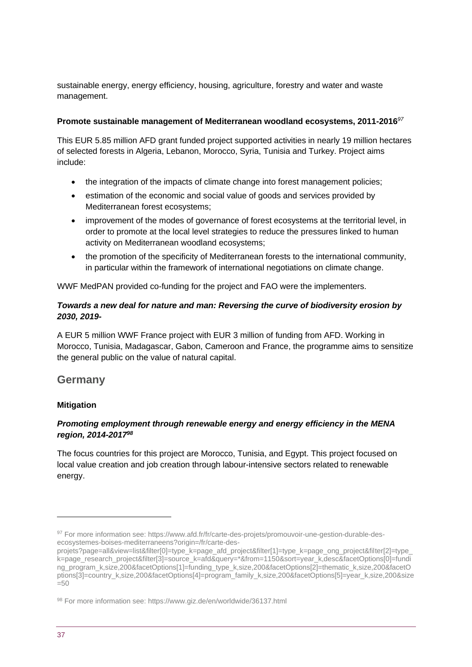sustainable energy, energy efficiency, housing, agriculture, forestry and water and waste management.

#### **Promote sustainable management of Mediterranean woodland ecosystems, 2011-2016***<sup>97</sup>*

This EUR 5.85 million AFD grant funded project supported activities in nearly 19 million hectares of selected forests in Algeria, Lebanon, Morocco, Syria, Tunisia and Turkey. Project aims include:

- the integration of the impacts of climate change into forest management policies;
- estimation of the economic and social value of goods and services provided by Mediterranean forest ecosystems;
- improvement of the modes of governance of forest ecosystems at the territorial level, in order to promote at the local level strategies to reduce the pressures linked to human activity on Mediterranean woodland ecosystems;
- the promotion of the specificity of Mediterranean forests to the international community, in particular within the framework of international negotiations on climate change.

WWF MedPAN provided co-funding for the project and FAO were the implementers.

## *Towards a new deal for nature and man: Reversing the curve of biodiversity erosion by 2030, 2019-*

A EUR 5 million WWF France project with EUR 3 million of funding from AFD. Working in Morocco, Tunisia, Madagascar, Gabon, Cameroon and France, the programme aims to sensitize the general public on the value of natural capital.

## **Germany**

### **Mitigation**

## *Promoting employment through renewable energy and energy efficiency in the MENA region, 2014-2017<sup>98</sup>*

The focus countries for this project are Morocco, Tunisia, and Egypt. This project focused on local value creation and job creation through labour-intensive sectors related to renewable energy.

<sup>97</sup> For more information see: https://www.afd.fr/fr/carte-des-projets/promouvoir-une-gestion-durable-desecosystemes-boises-mediterraneens?origin=/fr/carte-des-

projets?page=all&view=list&filter[0]=type\_k=page\_afd\_project&filter[1]=type\_k=page\_ong\_project&filter[2]=type\_ k=page\_research\_project&filter[3]=source\_k=afd&query=\*&from=1150&sort=year\_k,desc&facetOptions[0]=fundi ng\_program\_k,size,200&facetOptions[1]=funding\_type\_k,size,200&facetOptions[2]=thematic\_k,size,200&facetO ptions[3]=country\_k,size,200&facetOptions[4]=program\_family\_k,size,200&facetOptions[5]=year\_k,size,200&size  $=50$ 

<sup>98</sup> For more information see: https://www.giz.de/en/worldwide/36137.html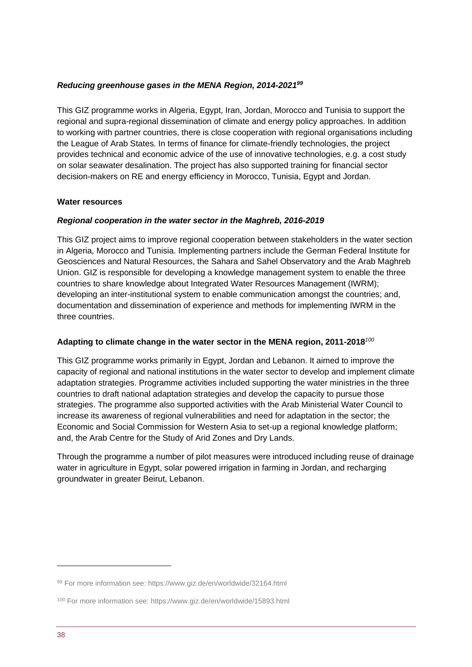#### *Reducing greenhouse gases in the MENA Region, 2014-2021<sup>99</sup>*

This GIZ programme works in Algeria, Egypt, Iran, Jordan, Morocco and Tunisia to support the regional and supra-regional dissemination of climate and energy policy approaches. In addition to working with partner countries, there is close cooperation with regional organisations including the League of Arab States. In terms of finance for climate-friendly technologies, the project provides technical and economic advice of the use of innovative technologies, e.g. a cost study on solar seawater desalination. The project has also supported training for financial sector decision-makers on RE and energy efficiency in Morocco, Tunisia, Egypt and Jordan.

#### **Water resources**

#### *Regional cooperation in the water sector in the Maghreb, 2016-2019*

This GIZ project aims to improve regional cooperation between stakeholders in the water section in Algeria, Morocco and Tunisia. Implementing partners include the German Federal Institute for Geosciences and Natural Resources, the Sahara and Sahel Observatory and the Arab Maghreb Union. GIZ is responsible for developing a knowledge management system to enable the three countries to share knowledge about Integrated Water Resources Management (IWRM); developing an inter-institutional system to enable communication amongst the countries; and, documentation and dissemination of experience and methods for implementing IWRM in the three countries.

### **Adapting to climate change in the water sector in the MENA region, 2011-2018***<sup>100</sup>*

This GIZ programme works primarily in Egypt, Jordan and Lebanon. It aimed to improve the capacity of regional and national institutions in the water sector to develop and implement climate adaptation strategies. Programme activities included supporting the water ministries in the three countries to draft national adaptation strategies and develop the capacity to pursue those strategies. The programme also supported activities with the Arab Ministerial Water Council to increase its awareness of regional vulnerabilities and need for adaptation in the sector; the Economic and Social Commission for Western Asia to set-up a regional knowledge platform; and, the Arab Centre for the Study of Arid Zones and Dry Lands.

Through the programme a number of pilot measures were introduced including reuse of drainage water in agriculture in Egypt, solar powered irrigation in farming in Jordan, and recharging groundwater in greater Beirut, Lebanon.

<sup>99</sup> For more information see: https://www.giz.de/en/worldwide/32164.html

<sup>100</sup> For more information see: https://www.giz.de/en/worldwide/15893.html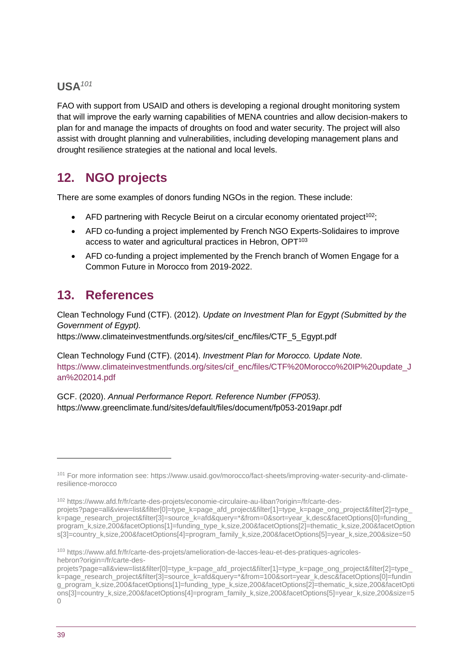## **USA***<sup>101</sup>*

FAO with support from USAID and others is developing a regional drought monitoring system that will improve the early warning capabilities of MENA countries and allow decision-makers to plan for and manage the impacts of droughts on food and water security. The project will also assist with drought planning and vulnerabilities, including developing management plans and drought resilience strategies at the national and local levels.

## <span id="page-38-0"></span>**12. NGO projects**

There are some examples of donors funding NGOs in the region. These include:

- AFD partnering with Recycle Beirut on a circular economy orientated project<sup>102</sup>;
- AFD co-funding a project implemented by French NGO Experts-Solidaires to improve access to water and agricultural practices in Hebron, OPT<sup>103</sup>
- AFD co-funding a project implemented by the French branch of Women Engage for a Common Future in Morocco from 2019-2022.

## <span id="page-38-1"></span>**13. References**

Clean Technology Fund (CTF). (2012). *Update on Investment Plan for Egypt (Submitted by the Government of Egypt).* 

https://www.climateinvestmentfunds.org/sites/cif\_enc/files/CTF\_5\_Egypt.pdf

Clean Technology Fund (CTF). (2014). *Investment Plan for Morocco. Update Note.*  [https://www.climateinvestmentfunds.org/sites/cif\\_enc/files/CTF%20Morocco%20IP%20update\\_J](https://www.climateinvestmentfunds.org/sites/cif_enc/files/CTF%20Morocco%20IP%20update_Jan%202014.pdf) [an%202014.pdf](https://www.climateinvestmentfunds.org/sites/cif_enc/files/CTF%20Morocco%20IP%20update_Jan%202014.pdf)

GCF. (2020). *Annual Performance Report. Reference Number (FP053).* https://www.greenclimate.fund/sites/default/files/document/fp053-2019apr.pdf

<sup>102</sup> https://www.afd.fr/fr/carte-des-projets/economie-circulaire-au-liban?origin=/fr/carte-desprojets?page=all&view=list&filter[0]=type\_k=page\_afd\_project&filter[1]=type\_k=page\_ong\_project&filter[2]=type k=page\_research\_project&filter[3]=source\_k=afd&query=\*&from=0&sort=year\_k,desc&facetOptions[0]=funding program\_k,size,200&facetOptions[1]=funding\_type\_k,size,200&facetOptions[2]=thematic\_k,size,200&facetOption s[3]=country\_k,size,200&facetOptions[4]=program\_family\_k,size,200&facetOptions[5]=year\_k,size,200&size=50

<sup>101</sup> For more information see: https://www.usaid.gov/morocco/fact-sheets/improving-water-security-and-climateresilience-morocco

<sup>103</sup> https://www.afd.fr/fr/carte-des-projets/amelioration-de-lacces-leau-et-des-pratiques-agricoleshebron?origin=/fr/carte-des-

projets?page=all&view=list&filter[0]=type\_k=page\_afd\_project&filter[1]=type\_k=page\_ong\_project&filter[2]=type k=page\_research\_project&filter[3]=source\_k=afd&query=\*&from=100&sort=year\_k,desc&facetOptions[0]=fundin g\_program\_k,size,200&facetOptions[1]=funding\_type\_k,size,200&facetOptions[2]=thematic\_k,size,200&facetOpti ons[3]=country\_k,size,200&facetOptions[4]=program\_family\_k,size,200&facetOptions[5]=year\_k,size,200&size=5  $\bigcap$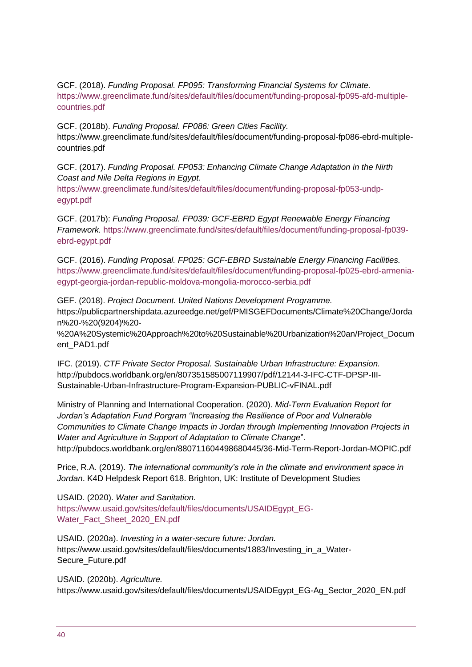GCF. (2018). *Funding Proposal. FP095: Transforming Financial Systems for Climate.*  [https://www.greenclimate.fund/sites/default/files/document/funding-proposal-fp095-afd-multiple](https://www.greenclimate.fund/sites/default/files/document/funding-proposal-fp095-afd-multiple-countries.pdf)[countries.pdf](https://www.greenclimate.fund/sites/default/files/document/funding-proposal-fp095-afd-multiple-countries.pdf)

GCF. (2018b). *Funding Proposal. FP086: Green Cities Facility.*  https://www.greenclimate.fund/sites/default/files/document/funding-proposal-fp086-ebrd-multiplecountries.pdf

GCF. (2017). *Funding Proposal. FP053: Enhancing Climate Change Adaptation in the Nirth Coast and Nile Delta Regions in Egypt.* 

[https://www.greenclimate.fund/sites/default/files/document/funding-proposal-fp053-undp](https://www.greenclimate.fund/sites/default/files/document/funding-proposal-fp053-undp-egypt.pdf)[egypt.pdf](https://www.greenclimate.fund/sites/default/files/document/funding-proposal-fp053-undp-egypt.pdf)

GCF. (2017b): *Funding Proposal. FP039: GCF-EBRD Egypt Renewable Energy Financing Framework.* [https://www.greenclimate.fund/sites/default/files/document/funding-proposal-fp039](https://www.greenclimate.fund/sites/default/files/document/funding-proposal-fp039-ebrd-egypt.pdf) [ebrd-egypt.pdf](https://www.greenclimate.fund/sites/default/files/document/funding-proposal-fp039-ebrd-egypt.pdf)

GCF. (2016). *Funding Proposal. FP025: GCF-EBRD Sustainable Energy Financing Facilities.*  [https://www.greenclimate.fund/sites/default/files/document/funding-proposal-fp025-ebrd-armenia](https://www.greenclimate.fund/sites/default/files/document/funding-proposal-fp025-ebrd-armenia-egypt-georgia-jordan-republic-moldova-mongolia-morocco-serbia.pdf)[egypt-georgia-jordan-republic-moldova-mongolia-morocco-serbia.pdf](https://www.greenclimate.fund/sites/default/files/document/funding-proposal-fp025-ebrd-armenia-egypt-georgia-jordan-republic-moldova-mongolia-morocco-serbia.pdf)

GEF. (2018). *Project Document. United Nations Development Programme.*  https://publicpartnershipdata.azureedge.net/gef/PMISGEFDocuments/Climate%20Change/Jorda n%20-%20(9204)%20-

%20A%20Systemic%20Approach%20to%20Sustainable%20Urbanization%20an/Project\_Docum ent\_PAD1.pdf

IFC. (2019). *CTF Private Sector Proposal. Sustainable Urban Infrastructure: Expansion.*  http://pubdocs.worldbank.org/en/807351585007119907/pdf/12144-3-IFC-CTF-DPSP-III-Sustainable-Urban-Infrastructure-Program-Expansion-PUBLIC-vFINAL.pdf

Ministry of Planning and International Cooperation. (2020). *Mid-Term Evaluation Report for Jordan's Adaptation Fund Porgram "Increasing the Resilience of Poor and Vulnerable Communities to Climate Change Impacts in Jordan through Implementing Innovation Projects in Water and Agriculture in Support of Adaptation to Climate Change*". http://pubdocs.worldbank.org/en/880711604498680445/36-Mid-Term-Report-Jordan-MOPIC.pdf

Price, R.A. (2019). *The international community's role in the climate and environment space in Jordan*. K4D Helpdesk Report 618. Brighton, UK: Institute of Development Studies

USAID. (2020). *Water and Sanitation.*  [https://www.usaid.gov/sites/default/files/documents/USAIDEgypt\\_EG-](https://www.usaid.gov/sites/default/files/documents/USAIDEgypt_EG-Water_Fact_Sheet_2020_EN.pdf)[Water\\_Fact\\_Sheet\\_2020\\_EN.pdf](https://www.usaid.gov/sites/default/files/documents/USAIDEgypt_EG-Water_Fact_Sheet_2020_EN.pdf)

USAID. (2020a). *Investing in a water-secure future: Jordan.*  https://www.usaid.gov/sites/default/files/documents/1883/Investing\_in\_a\_Water-Secure\_Future.pdf

USAID. (2020b). *Agriculture.* https://www.usaid.gov/sites/default/files/documents/USAIDEgypt\_EG-Ag\_Sector\_2020\_EN.pdf